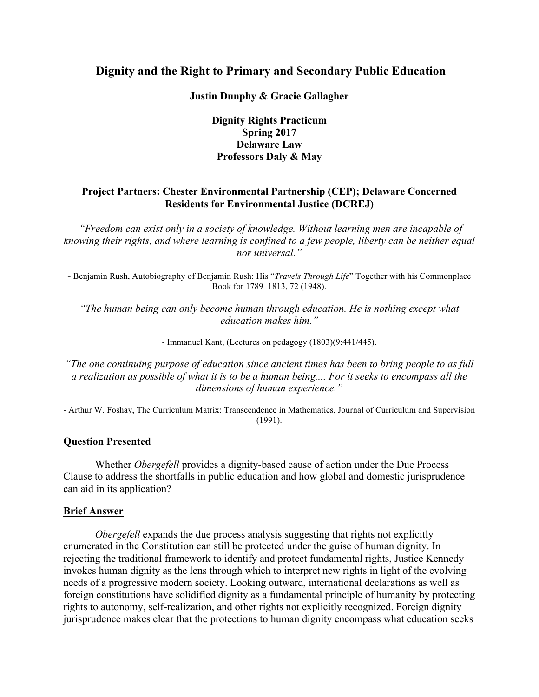# **Dignity and the Right to Primary and Secondary Public Education**

**Justin Dunphy & Gracie Gallagher** 

## **Dignity Rights Practicum Spring 2017 Delaware Law Professors Daly & May**

## **Project Partners: Chester Environmental Partnership (CEP); Delaware Concerned Residents for Environmental Justice (DCREJ)**

*"Freedom can exist only in a society of knowledge. Without learning men are incapable of knowing their rights, and where learning is confined to a few people, liberty can be neither equal nor universal."*

- Benjamin Rush, Autobiography of Benjamin Rush: His "*Travels Through Life*" Together with his Commonplace Book for 1789–1813, 72 (1948).

*"The human being can only become human through education. He is nothing except what education makes him."*

- Immanuel Kant, (Lectures on pedagogy (1803)(9:441/445).

*"The one continuing purpose of education since ancient times has been to bring people to as full a realization as possible of what it is to be a human being.... For it seeks to encompass all the dimensions of human experience."*

- Arthur W. Foshay, The Curriculum Matrix: Transcendence in Mathematics, Journal of Curriculum and Supervision (1991).

### **Question Presented**

Whether *Obergefell* provides a dignity-based cause of action under the Due Process Clause to address the shortfalls in public education and how global and domestic jurisprudence can aid in its application?

### **Brief Answer**

*Obergefell* expands the due process analysis suggesting that rights not explicitly enumerated in the Constitution can still be protected under the guise of human dignity. In rejecting the traditional framework to identify and protect fundamental rights, Justice Kennedy invokes human dignity as the lens through which to interpret new rights in light of the evolving needs of a progressive modern society. Looking outward, international declarations as well as foreign constitutions have solidified dignity as a fundamental principle of humanity by protecting rights to autonomy, self-realization, and other rights not explicitly recognized. Foreign dignity jurisprudence makes clear that the protections to human dignity encompass what education seeks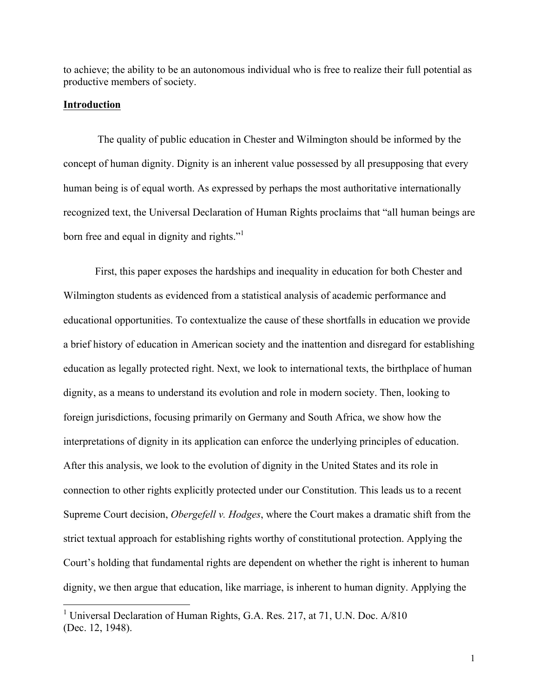to achieve; the ability to be an autonomous individual who is free to realize their full potential as productive members of society.

#### **Introduction**

The quality of public education in Chester and Wilmington should be informed by the concept of human dignity. Dignity is an inherent value possessed by all presupposing that every human being is of equal worth. As expressed by perhaps the most authoritative internationally recognized text, the Universal Declaration of Human Rights proclaims that "all human beings are born free and equal in dignity and rights."<sup>1</sup>

First, this paper exposes the hardships and inequality in education for both Chester and Wilmington students as evidenced from a statistical analysis of academic performance and educational opportunities. To contextualize the cause of these shortfalls in education we provide a brief history of education in American society and the inattention and disregard for establishing education as legally protected right. Next, we look to international texts, the birthplace of human dignity, as a means to understand its evolution and role in modern society. Then, looking to foreign jurisdictions, focusing primarily on Germany and South Africa, we show how the interpretations of dignity in its application can enforce the underlying principles of education. After this analysis, we look to the evolution of dignity in the United States and its role in connection to other rights explicitly protected under our Constitution. This leads us to a recent Supreme Court decision, *Obergefell v. Hodges*, where the Court makes a dramatic shift from the strict textual approach for establishing rights worthy of constitutional protection. Applying the Court's holding that fundamental rights are dependent on whether the right is inherent to human dignity, we then argue that education, like marriage, is inherent to human dignity. Applying the

<sup>&</sup>lt;sup>1</sup> Universal Declaration of Human Rights, G.A. Res. 217, at 71, U.N. Doc. A/810 (Dec. 12, 1948).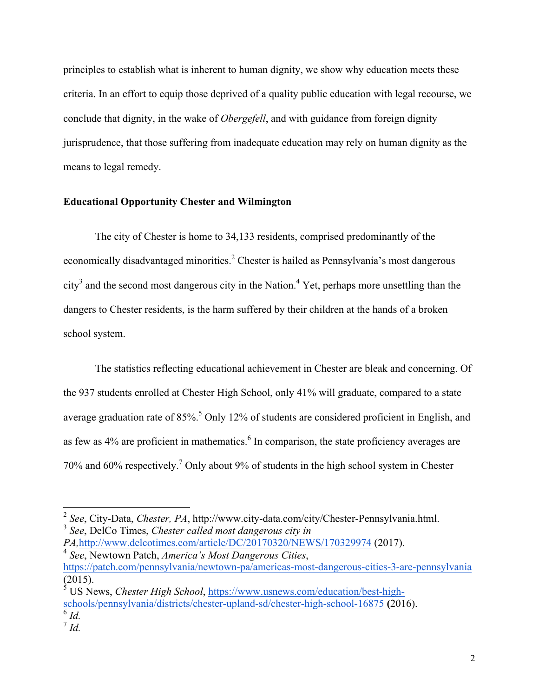principles to establish what is inherent to human dignity, we show why education meets these criteria. In an effort to equip those deprived of a quality public education with legal recourse, we conclude that dignity, in the wake of *Obergefell*, and with guidance from foreign dignity jurisprudence, that those suffering from inadequate education may rely on human dignity as the means to legal remedy.

#### **Educational Opportunity Chester and Wilmington**

The city of Chester is home to 34,133 residents, comprised predominantly of the economically disadvantaged minorities.<sup>2</sup> Chester is hailed as Pennsylvania's most dangerous  $\text{city}^3$  and the second most dangerous city in the Nation.<sup>4</sup> Yet, perhaps more unsettling than the dangers to Chester residents, is the harm suffered by their children at the hands of a broken school system.

The statistics reflecting educational achievement in Chester are bleak and concerning. Of the 937 students enrolled at Chester High School, only 41% will graduate, compared to a state average graduation rate of  $85\%$ <sup>5</sup> Only 12% of students are considered proficient in English, and as few as  $4\%$  are proficient in mathematics.<sup>6</sup> In comparison, the state proficiency averages are 70% and 60% respectively.7 Only about 9% of students in the high school system in Chester

<sup>2</sup> *See*, City-Data, *Chester, PA*, http://www.city-data.com/city/Chester-Pennsylvania.html.

<sup>3</sup> *See*, DelCo Times, *Chester called most dangerous city in* 

*PA,*http://www.delcotimes.com/article/DC/20170320/NEWS/170329974 (2017). <sup>4</sup> *See*, Newtown Patch, *America's Most Dangerous Cities*,

https://patch.com/pennsylvania/newtown-pa/americas-most-dangerous-cities-3-are-pennsylvania (2015).

<sup>5</sup> US News, *Chester High School*, https://www.usnews.com/education/best-highschools/pennsylvania/districts/chester-upland-sd/chester-high-school-16875 **(**2016).  $^6$  *Id.* 

 $^7$  *Id.*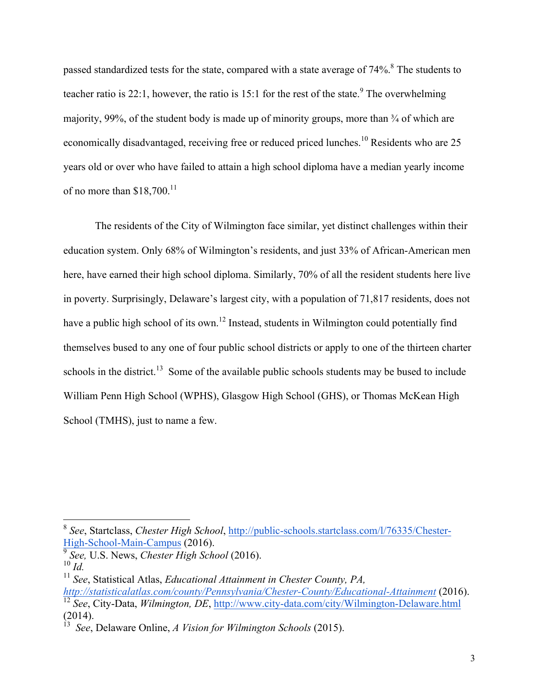passed standardized tests for the state, compared with a state average of  $74\%$ .<sup>8</sup> The students to teacher ratio is 22:1, however, the ratio is 15:1 for the rest of the state.<sup>9</sup> The overwhelming majority, 99%, of the student body is made up of minority groups, more than  $\frac{3}{4}$  of which are economically disadvantaged, receiving free or reduced priced lunches.<sup>10</sup> Residents who are 25 years old or over who have failed to attain a high school diploma have a median yearly income of no more than  $$18,700$ <sup>11</sup>

The residents of the City of Wilmington face similar, yet distinct challenges within their education system. Only 68% of Wilmington's residents, and just 33% of African-American men here, have earned their high school diploma. Similarly, 70% of all the resident students here live in poverty. Surprisingly, Delaware's largest city, with a population of 71,817 residents, does not have a public high school of its own.<sup>12</sup> Instead, students in Wilmington could potentially find themselves bused to any one of four public school districts or apply to one of the thirteen charter schools in the district.<sup>13</sup> Some of the available public schools students may be bused to include William Penn High School (WPHS), Glasgow High School (GHS), or Thomas McKean High School (TMHS), just to name a few.

<sup>8</sup> *See*, Startclass, *Chester High School*, http://public-schools.startclass.com/l/76335/Chester-High-School-Main-Campus (2016).

<sup>9</sup> *See,* U.S. News, *Chester High School* (2016). <sup>10</sup> *Id.*

<sup>11</sup> *See*, Statistical Atlas, *Educational Attainment in Chester County, PA, http://statisticalatlas.com/county/Pennsylvania/Chester-County/Educational-Attainment* (2016). <sup>12</sup> *See*, City-Data, *Wilmington, DE*, http://www.city-data.com/city/Wilmington-Delaware.html (2014).

<sup>13</sup> *See*, Delaware Online, *A Vision for Wilmington Schools* (2015).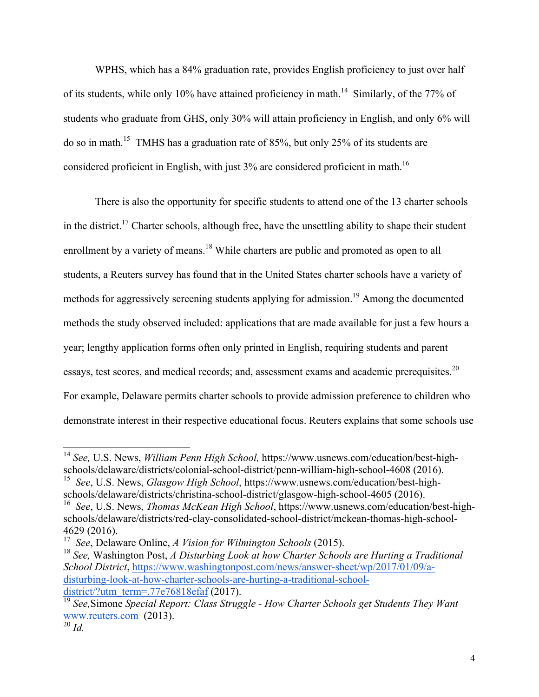WPHS, which has a 84% graduation rate, provides English proficiency to just over half of its students, while only 10% have attained proficiency in math.<sup>14</sup> Similarly, of the 77% of students who graduate from GHS, only 30% will attain proficiency in English, and only 6% will do so in math.15 TMHS has a graduation rate of 85%, but only 25% of its students are considered proficient in English, with just  $3\%$  are considered proficient in math.<sup>16</sup>

There is also the opportunity for specific students to attend one of the 13 charter schools in the district.<sup>17</sup> Charter schools, although free, have the unsettling ability to shape their student enrollment by a variety of means.<sup>18</sup> While charters are public and promoted as open to all students, a Reuters survey has found that in the United States charter schools have a variety of methods for aggressively screening students applying for admission.<sup>19</sup> Among the documented methods the study observed included: applications that are made available for just a few hours a year; lengthy application forms often only printed in English, requiring students and parent essays, test scores, and medical records; and, assessment exams and academic prerequisites.<sup>20</sup> For example, Delaware permits charter schools to provide admission preference to children who demonstrate interest in their respective educational focus. Reuters explains that some schools use

<sup>14</sup> *See,* U.S. News, *William Penn High School,* https://www.usnews.com/education/best-highschools/delaware/districts/colonial-school-district/penn-william-high-school-4608 (2016).

<sup>15</sup> *See*, U.S. News, *Glasgow High School*, https://www.usnews.com/education/best-highschools/delaware/districts/christina-school-district/glasgow-high-school-4605 (2016).

<sup>16</sup> *See*, U.S. News, *Thomas McKean High School*, https://www.usnews.com/education/best-highschools/delaware/districts/red-clay-consolidated-school-district/mckean-thomas-high-school-4629 (2016).

<sup>17</sup> *See*, Delaware Online, *A Vision for Wilmington Schools* (2015).

<sup>18</sup> *See,* Washington Post, *A Disturbing Look at how Charter Schools are Hurting a Traditional School District*, https://www.washingtonpost.com/news/answer-sheet/wp/2017/01/09/adisturbing-look-at-how-charter-schools-are-hurting-a-traditional-schooldistrict/?utm\_term=.77e76818efaf  $(2017)$ .

<sup>19</sup> *See,*Simone *Special Report: Class Struggle - How Charter Schools get Students They Want*  www.reuters.com (2013).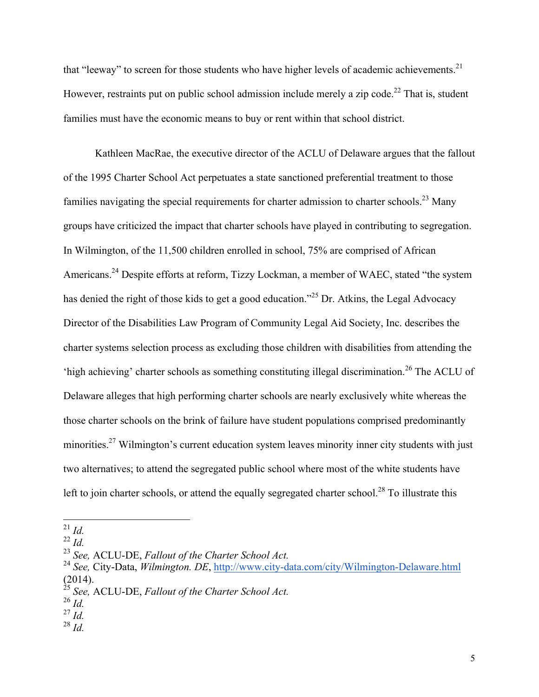that "leeway" to screen for those students who have higher levels of academic achievements. $21$ However, restraints put on public school admission include merely a zip code.<sup>22</sup> That is, student families must have the economic means to buy or rent within that school district.

Kathleen MacRae, the executive director of the ACLU of Delaware argues that the fallout of the 1995 Charter School Act perpetuates a state sanctioned preferential treatment to those families navigating the special requirements for charter admission to charter schools.<sup>23</sup> Many groups have criticized the impact that charter schools have played in contributing to segregation. In Wilmington, of the 11,500 children enrolled in school, 75% are comprised of African Americans.<sup>24</sup> Despite efforts at reform, Tizzy Lockman, a member of WAEC, stated "the system" has denied the right of those kids to get a good education.<sup>225</sup> Dr. Atkins, the Legal Advocacy Director of the Disabilities Law Program of Community Legal Aid Society, Inc. describes the charter systems selection process as excluding those children with disabilities from attending the 'high achieving' charter schools as something constituting illegal discrimination.<sup>26</sup> The ACLU of Delaware alleges that high performing charter schools are nearly exclusively white whereas the those charter schools on the brink of failure have student populations comprised predominantly minorities.<sup>27</sup> Wilmington's current education system leaves minority inner city students with just two alternatives; to attend the segregated public school where most of the white students have left to join charter schools, or attend the equally segregated charter school.<sup>28</sup> To illustrate this

<sup>28</sup> *Id.*

21 *Id.*

 $^{22}$  *Id.* 

<sup>23</sup> *See,* ACLU-DE, *Fallout of the Charter School Act.*

<sup>24</sup> *See,* City-Data, *Wilmington. DE*, http://www.city-data.com/city/Wilmington-Delaware.html (2014).

<sup>25</sup> *See,* ACLU-DE, *Fallout of the Charter School Act.*

 $^{26}$  *Id.* 

 $^{27}$  *Id.*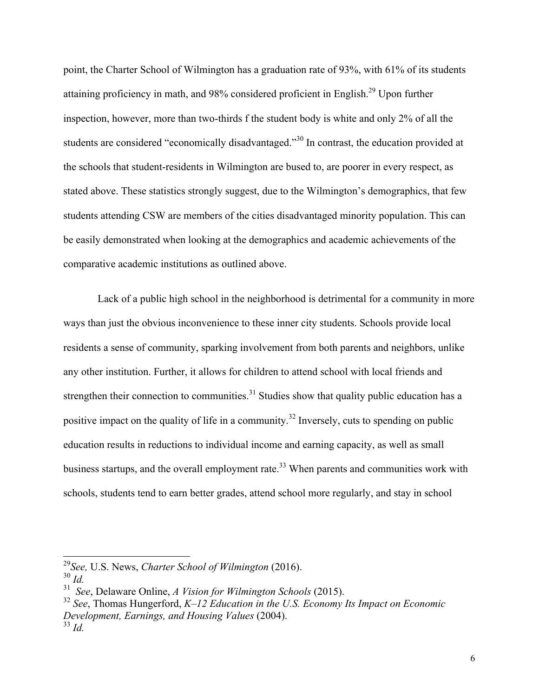point, the Charter School of Wilmington has a graduation rate of 93%, with 61% of its students attaining proficiency in math, and 98% considered proficient in English.<sup>29</sup> Upon further inspection, however, more than two-thirds f the student body is white and only 2% of all the students are considered "economically disadvantaged."<sup>30</sup> In contrast, the education provided at the schools that student-residents in Wilmington are bused to, are poorer in every respect, as stated above. These statistics strongly suggest, due to the Wilmington's demographics, that few students attending CSW are members of the cities disadvantaged minority population. This can be easily demonstrated when looking at the demographics and academic achievements of the comparative academic institutions as outlined above.

Lack of a public high school in the neighborhood is detrimental for a community in more ways than just the obvious inconvenience to these inner city students. Schools provide local residents a sense of community, sparking involvement from both parents and neighbors, unlike any other institution. Further, it allows for children to attend school with local friends and strengthen their connection to communities.<sup>31</sup> Studies show that quality public education has a positive impact on the quality of life in a community.<sup>32</sup> Inversely, cuts to spending on public education results in reductions to individual income and earning capacity, as well as small business startups, and the overall employment rate.<sup>33</sup> When parents and communities work with schools, students tend to earn better grades, attend school more regularly, and stay in school

<sup>29</sup>*See,* U.S. News, *Charter School of Wilmington* (2016).

<sup>30</sup> *Id.*

<sup>31</sup> *See*, Delaware Online, *A Vision for Wilmington Schools* (2015).

<sup>32</sup> *See*, Thomas Hungerford, *K–12 Education in the U.S. Economy Its Impact on Economic Development, Earnings, and Housing Values* (2004). <sup>33</sup> *Id.*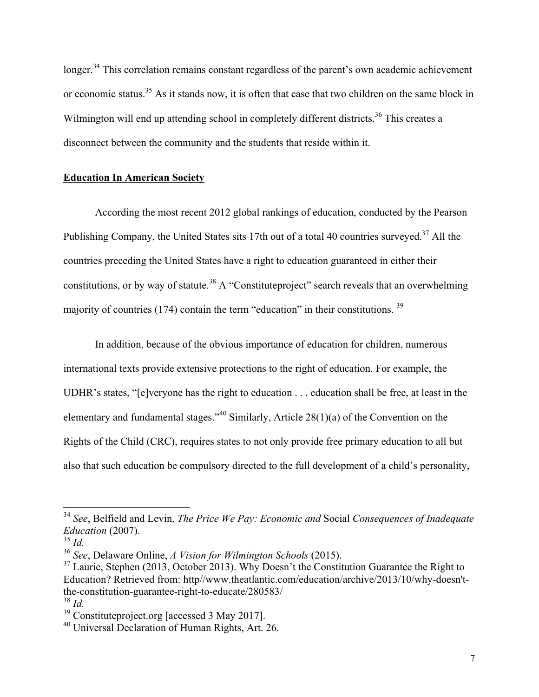longer.<sup>34</sup> This correlation remains constant regardless of the parent's own academic achievement or economic status.<sup>35</sup> As it stands now, it is often that case that two children on the same block in Wilmington will end up attending school in completely different districts.<sup>36</sup> This creates a disconnect between the community and the students that reside within it.

#### **Education In American Society**

According the most recent 2012 global rankings of education, conducted by the Pearson Publishing Company, the United States sits 17th out of a total 40 countries surveyed.<sup>37</sup> All the countries preceding the United States have a right to education guaranteed in either their constitutions, or by way of statute.<sup>38</sup> A "Constitute project" search reveals that an overwhelming majority of countries (174) contain the term "education" in their constitutions. 39

In addition, because of the obvious importance of education for children, numerous international texts provide extensive protections to the right of education. For example, the UDHR's states, "[e]veryone has the right to education . . . education shall be free, at least in the elementary and fundamental stages."<sup>40</sup> Similarly, Article 28(1)(a) of the Convention on the Rights of the Child (CRC), requires states to not only provide free primary education to all but also that such education be compulsory directed to the full development of a child's personality,

<sup>34</sup> *See*, Belfield and Levin, *The Price We Pay: Economic and* Social *Consequences of Inadequate Education* (2007).

<sup>35</sup> *Id.*

<sup>36</sup> *See*, Delaware Online, *A Vision for Wilmington Schools* (2015).

 $37$  Laurie, Stephen (2013, October 2013). Why Doesn't the Constitution Guarantee the Right to Education? Retrieved from: http//www.theatlantic.com/education/archive/2013/10/why-doesn'tthe-constitution-guarantee-right-to-educate/280583/

<sup>38</sup> *Id.*

<sup>39</sup> Constituteproject.org [accessed 3 May 2017].

<sup>40</sup> Universal Declaration of Human Rights, Art. 26.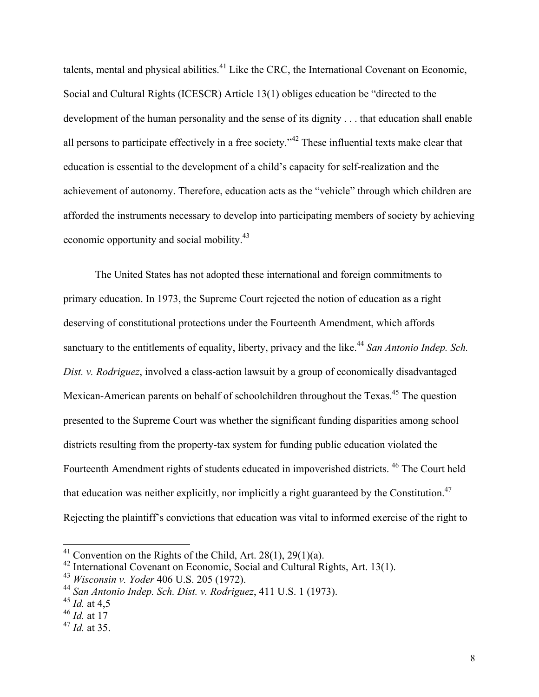talents, mental and physical abilities. $^{41}$  Like the CRC, the International Covenant on Economic, Social and Cultural Rights (ICESCR) Article 13(1) obliges education be "directed to the development of the human personality and the sense of its dignity . . . that education shall enable all persons to participate effectively in a free society."<sup>42</sup> These influential texts make clear that education is essential to the development of a child's capacity for self-realization and the achievement of autonomy. Therefore, education acts as the "vehicle" through which children are afforded the instruments necessary to develop into participating members of society by achieving economic opportunity and social mobility.<sup>43</sup>

The United States has not adopted these international and foreign commitments to primary education. In 1973, the Supreme Court rejected the notion of education as a right deserving of constitutional protections under the Fourteenth Amendment, which affords sanctuary to the entitlements of equality, liberty, privacy and the like.<sup>44</sup> San Antonio Indep. Sch. *Dist. v. Rodriguez*, involved a class-action lawsuit by a group of economically disadvantaged Mexican-American parents on behalf of schoolchildren throughout the Texas.<sup>45</sup> The question presented to the Supreme Court was whether the significant funding disparities among school districts resulting from the property-tax system for funding public education violated the Fourteenth Amendment rights of students educated in impoverished districts.<sup>46</sup> The Court held that education was neither explicitly, nor implicitly a right guaranteed by the Constitution.<sup>47</sup> Rejecting the plaintiff's convictions that education was vital to informed exercise of the right to

<sup>&</sup>lt;sup>41</sup> Convention on the Rights of the Child, Art. 28(1), 29(1)(a).

<sup>42</sup> International Covenant on Economic, Social and Cultural Rights, Art. 13(1).

<sup>43</sup> *Wisconsin v. Yoder* 406 U.S. 205 (1972).

<sup>44</sup> *San Antonio Indep. Sch. Dist. v. Rodriguez*, 411 U.S. 1 (1973).

<sup>45</sup> *Id.* at 4,5

<sup>46</sup> *Id.* at 17

<sup>47</sup> *Id.* at 35.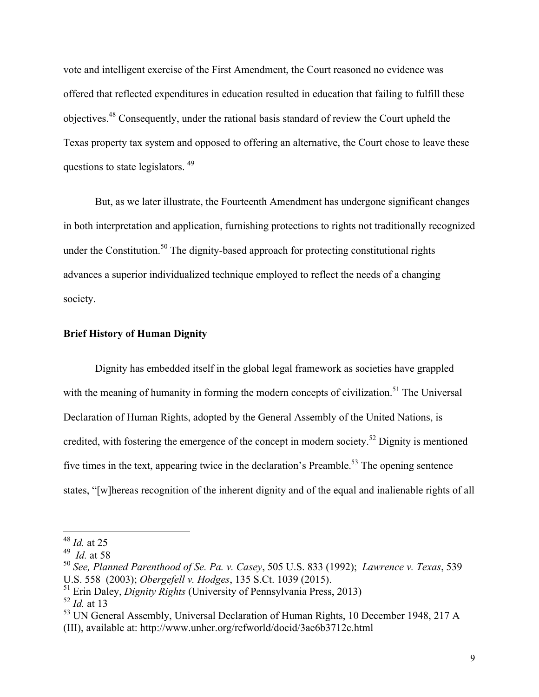vote and intelligent exercise of the First Amendment, the Court reasoned no evidence was offered that reflected expenditures in education resulted in education that failing to fulfill these objectives.48 Consequently, under the rational basis standard of review the Court upheld the Texas property tax system and opposed to offering an alternative, the Court chose to leave these questions to state legislators.<sup>49</sup>

But, as we later illustrate, the Fourteenth Amendment has undergone significant changes in both interpretation and application, furnishing protections to rights not traditionally recognized under the Constitution.<sup>50</sup> The dignity-based approach for protecting constitutional rights advances a superior individualized technique employed to reflect the needs of a changing society.

#### **Brief History of Human Dignity**

Dignity has embedded itself in the global legal framework as societies have grappled with the meaning of humanity in forming the modern concepts of civilization.<sup>51</sup> The Universal Declaration of Human Rights, adopted by the General Assembly of the United Nations, is credited, with fostering the emergence of the concept in modern society.<sup>52</sup> Dignity is mentioned five times in the text, appearing twice in the declaration's Preamble.<sup>53</sup> The opening sentence states, "[w]hereas recognition of the inherent dignity and of the equal and inalienable rights of all

<sup>48</sup> *Id.* at 25

<sup>49</sup> *Id.* at 58

<sup>50</sup> *See, Planned Parenthood of Se. Pa. v. Casey*, 505 U.S. 833 (1992); *Lawrence v. Texas*, 539 U.S. 558 (2003); *Obergefell v. Hodges*, 135 S.Ct. 1039 (2015).

<sup>51</sup> Erin Daley, *Dignity Rights* (University of Pennsylvania Press, 2013)

<sup>52</sup> *Id.* at 13

<sup>&</sup>lt;sup>53</sup> UN General Assembly, Universal Declaration of Human Rights, 10 December 1948, 217 A

<sup>(</sup>III), available at: http://www.unher.org/refworld/docid/3ae6b3712c.html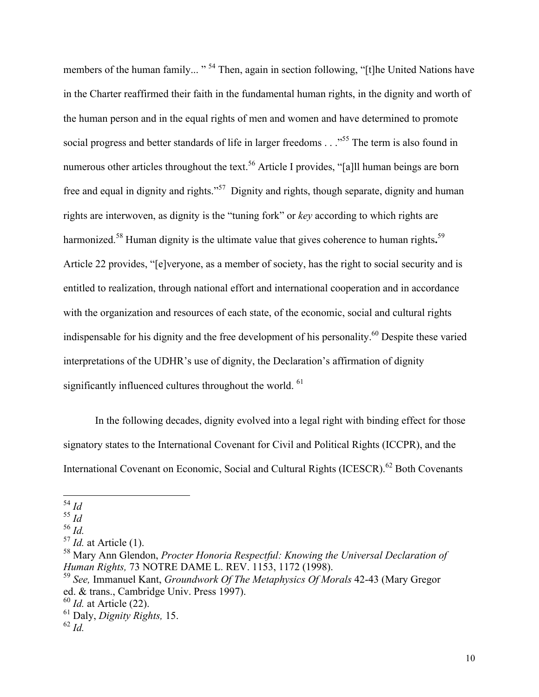members of the human family... "<sup>54</sup> Then, again in section following, "[t]he United Nations have in the Charter reaffirmed their faith in the fundamental human rights, in the dignity and worth of the human person and in the equal rights of men and women and have determined to promote social progress and better standards of life in larger freedoms . . .<sup>555</sup> The term is also found in numerous other articles throughout the text.<sup>56</sup> Article I provides, "[a]ll human beings are born free and equal in dignity and rights."57 Dignity and rights, though separate, dignity and human rights are interwoven, as dignity is the "tuning fork" or *key* according to which rights are harmonized.<sup>58</sup> Human dignity is the ultimate value that gives coherence to human rights.<sup>59</sup> Article 22 provides, "[e]veryone, as a member of society, has the right to social security and is entitled to realization, through national effort and international cooperation and in accordance with the organization and resources of each state, of the economic, social and cultural rights indispensable for his dignity and the free development of his personality.<sup>60</sup> Despite these varied interpretations of the UDHR's use of dignity, the Declaration's affirmation of dignity significantly influenced cultures throughout the world. <sup>61</sup>

In the following decades, dignity evolved into a legal right with binding effect for those signatory states to the International Covenant for Civil and Political Rights (ICCPR), and the International Covenant on Economic, Social and Cultural Rights (ICESCR).<sup>62</sup> Both Covenants

54 *Id*

 $\overline{55}$   $\overline{Id}$ 

<sup>56</sup> *Id.* 

<sup>57</sup> *Id.* at Article (1).

<sup>58</sup> Mary Ann Glendon, *Procter Honoria Respectful: Knowing the Universal Declaration of Human Rights,* 73 NOTRE DAME L. REV. 1153, 1172 (1998).

<sup>59</sup> *See,* Immanuel Kant, *Groundwork Of The Metaphysics Of Morals* 42-43 (Mary Gregor ed. & trans., Cambridge Univ. Press 1997).

<sup>60</sup> *Id.* at Article (22).

<sup>61</sup> Daly, *Dignity Rights,* 15. <sup>62</sup> *Id.*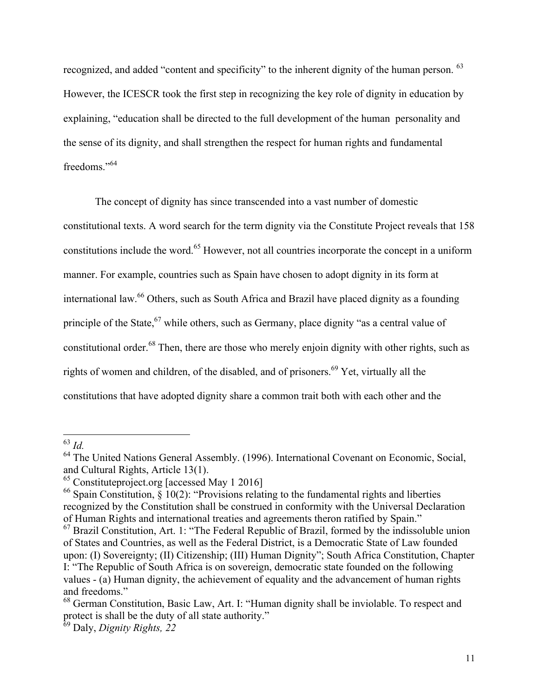recognized, and added "content and specificity" to the inherent dignity of the human person. <sup>63</sup> However, the ICESCR took the first step in recognizing the key role of dignity in education by explaining, "education shall be directed to the full development of the human personality and the sense of its dignity, and shall strengthen the respect for human rights and fundamental freedoms<sup>"64</sup>

The concept of dignity has since transcended into a vast number of domestic constitutional texts. A word search for the term dignity via the Constitute Project reveals that 158 constitutions include the word.<sup>65</sup> However, not all countries incorporate the concept in a uniform manner. For example, countries such as Spain have chosen to adopt dignity in its form at international law.<sup>66</sup> Others, such as South Africa and Brazil have placed dignity as a founding principle of the State, <sup>67</sup> while others, such as Germany, place dignity "as a central value of constitutional order.<sup>68</sup> Then, there are those who merely enjoin dignity with other rights, such as rights of women and children, of the disabled, and of prisoners.<sup>69</sup> Yet, virtually all the constitutions that have adopted dignity share a common trait both with each other and the

<sup>63</sup> *Id.* 

<sup>&</sup>lt;sup>64</sup> The United Nations General Assembly. (1996). International Covenant on Economic, Social, and Cultural Rights, Article 13(1).

 $^{65}$  Constituteproject.org [accessed May 1 2016]

<sup>&</sup>lt;sup>66</sup> Spain Constitution,  $\S 10(2)$ : "Provisions relating to the fundamental rights and liberties recognized by the Constitution shall be construed in conformity with the Universal Declaration of Human Rights and international treaties and agreements theron ratified by Spain."

 $<sup>67</sup>$  Brazil Constitution, Art. 1: "The Federal Republic of Brazil, formed by the indissoluble union</sup> of States and Countries, as well as the Federal District, is a Democratic State of Law founded upon: (I) Sovereignty; (II) Citizenship; (III) Human Dignity"; South Africa Constitution, Chapter I: "The Republic of South Africa is on sovereign, democratic state founded on the following

values - (a) Human dignity, the achievement of equality and the advancement of human rights and freedoms."

<sup>&</sup>lt;sup>68</sup> German Constitution, Basic Law, Art. I: "Human dignity shall be inviolable. To respect and protect is shall be the duty of all state authority."

<sup>69</sup> Daly, *Dignity Rights, 22*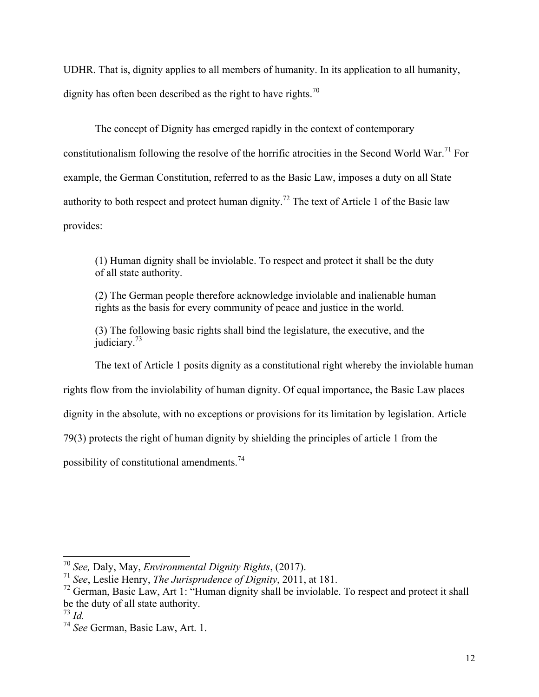UDHR. That is, dignity applies to all members of humanity. In its application to all humanity, dignity has often been described as the right to have rights.<sup>70</sup>

The concept of Dignity has emerged rapidly in the context of contemporary constitutionalism following the resolve of the horrific atrocities in the Second World War.<sup>71</sup> For example, the German Constitution, referred to as the Basic Law, imposes a duty on all State authority to both respect and protect human dignity.<sup>72</sup> The text of Article 1 of the Basic law provides:

(1) Human dignity shall be inviolable. To respect and protect it shall be the duty of all state authority.

(2) The German people therefore acknowledge inviolable and inalienable human rights as the basis for every community of peace and justice in the world.

(3) The following basic rights shall bind the legislature, the executive, and the judiciary.<sup>73</sup>

The text of Article 1 posits dignity as a constitutional right whereby the inviolable human

rights flow from the inviolability of human dignity. Of equal importance, the Basic Law places

dignity in the absolute, with no exceptions or provisions for its limitation by legislation. Article

79(3) protects the right of human dignity by shielding the principles of article 1 from the

possibility of constitutional amendments.<sup>74</sup>

<sup>70</sup> *See,* Daly, May, *Environmental Dignity Rights*, (2017).

<sup>71</sup> *See*, Leslie Henry, *The Jurisprudence of Dignity*, 2011, at 181.

 $72$  German, Basic Law, Art 1: "Human dignity shall be inviolable. To respect and protect it shall be the duty of all state authority.

 $^{73}$  *Id.* 

<sup>74</sup> *See* German, Basic Law, Art. 1.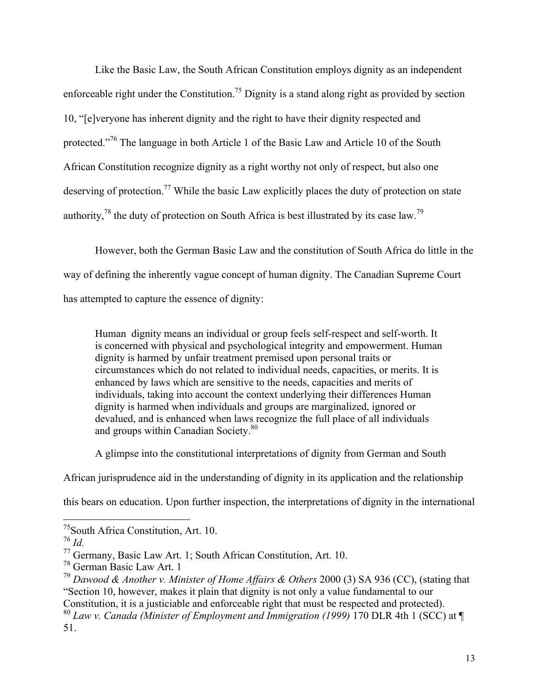Like the Basic Law, the South African Constitution employs dignity as an independent enforceable right under the Constitution.<sup>75</sup> Dignity is a stand along right as provided by section 10, "[e]veryone has inherent dignity and the right to have their dignity respected and protected."<sup>76</sup> The language in both Article 1 of the Basic Law and Article 10 of the South African Constitution recognize dignity as a right worthy not only of respect, but also one deserving of protection.<sup>77</sup> While the basic Law explicitly places the duty of protection on state authority,<sup>78</sup> the duty of protection on South Africa is best illustrated by its case law.<sup>79</sup>

However, both the German Basic Law and the constitution of South Africa do little in the way of defining the inherently vague concept of human dignity. The Canadian Supreme Court has attempted to capture the essence of dignity:

Human dignity means an individual or group feels self-respect and self-worth. It is concerned with physical and psychological integrity and empowerment. Human dignity is harmed by unfair treatment premised upon personal traits or circumstances which do not related to individual needs, capacities, or merits. It is enhanced by laws which are sensitive to the needs, capacities and merits of individuals, taking into account the context underlying their differences Human dignity is harmed when individuals and groups are marginalized, ignored or devalued, and is enhanced when laws recognize the full place of all individuals and groups within Canadian Society.<sup>80</sup>

A glimpse into the constitutional interpretations of dignity from German and South

African jurisprudence aid in the understanding of dignity in its application and the relationship

this bears on education. Upon further inspection, the interpretations of dignity in the international

<sup>&</sup>lt;sup>75</sup>South Africa Constitution, Art. 10.<br> $\frac{76}{1}$  *Id.* 

<sup>&</sup>lt;sup>77</sup> Germany, Basic Law Art. 1; South African Constitution, Art. 10.

<sup>78</sup> German Basic Law Art. 1

<sup>79</sup> *Dawood & Another v. Minister of Home Affairs & Others* 2000 (3) SA 936 (CC), (stating that "Section 10, however, makes it plain that dignity is not only a value fundamental to our Constitution, it is a justiciable and enforceable right that must be respected and protected).

<sup>80</sup> *Law v. Canada (Minister of Employment and Immigration (1999)* 170 DLR 4th 1 (SCC) at ¶ 51.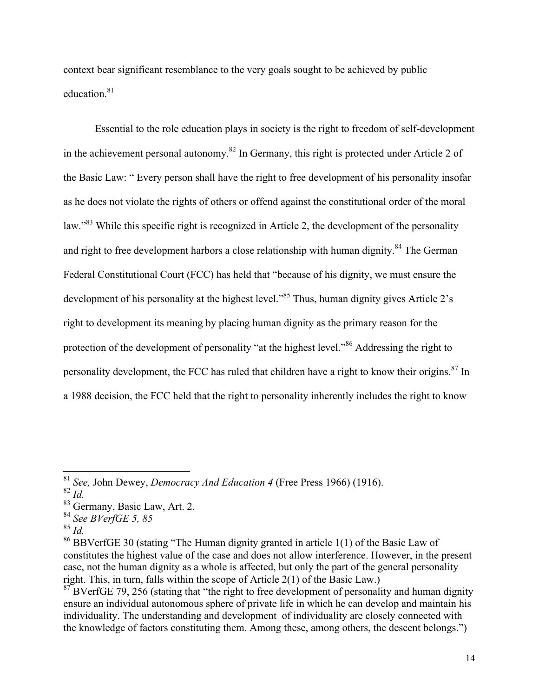context bear significant resemblance to the very goals sought to be achieved by public education.<sup>81</sup>

Essential to the role education plays in society is the right to freedom of self-development in the achievement personal autonomy.<sup>82</sup> In Germany, this right is protected under Article 2 of the Basic Law: " Every person shall have the right to free development of his personality insofar as he does not violate the rights of others or offend against the constitutional order of the moral law."<sup>83</sup> While this specific right is recognized in Article 2, the development of the personality and right to free development harbors a close relationship with human dignity.<sup>84</sup> The German Federal Constitutional Court (FCC) has held that "because of his dignity, we must ensure the development of his personality at the highest level."<sup>85</sup> Thus, human dignity gives Article 2's right to development its meaning by placing human dignity as the primary reason for the protection of the development of personality "at the highest level."<sup>86</sup> Addressing the right to personality development, the FCC has ruled that children have a right to know their origins.<sup>87</sup> In a 1988 decision, the FCC held that the right to personality inherently includes the right to know

<sup>85</sup> *Id.* 

<sup>81</sup> *See,* John Dewey, *Democracy And Education 4* (Free Press 1966) (1916).

<sup>82</sup> *Id.*

<sup>83</sup> Germany, Basic Law, Art. 2.

<sup>84</sup> *See BVerfGE 5, 85*

<sup>86</sup> BBVerfGE 30 (stating "The Human dignity granted in article 1(1) of the Basic Law of constitutes the highest value of the case and does not allow interference. However, in the present case, not the human dignity as a whole is affected, but only the part of the general personality right. This, in turn, falls within the scope of Article 2(1) of the Basic Law.)

 $87$  BVerfGE 79, 256 (stating that "the right to free development of personality and human dignity ensure an individual autonomous sphere of private life in which he can develop and maintain his individuality. The understanding and development of individuality are closely connected with the knowledge of factors constituting them. Among these, among others, the descent belongs.")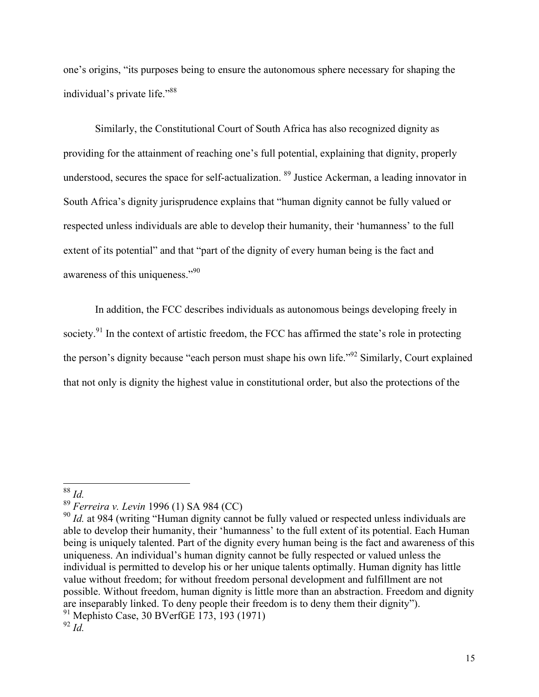one's origins, "its purposes being to ensure the autonomous sphere necessary for shaping the individual's private life."88

Similarly, the Constitutional Court of South Africa has also recognized dignity as providing for the attainment of reaching one's full potential, explaining that dignity, properly understood, secures the space for self-actualization. 89 Justice Ackerman, a leading innovator in South Africa's dignity jurisprudence explains that "human dignity cannot be fully valued or respected unless individuals are able to develop their humanity, their 'humanness' to the full extent of its potential" and that "part of the dignity of every human being is the fact and awareness of this uniqueness."<sup>90</sup>

In addition, the FCC describes individuals as autonomous beings developing freely in society.<sup>91</sup> In the context of artistic freedom, the FCC has affirmed the state's role in protecting the person's dignity because "each person must shape his own life."<sup>92</sup> Similarly, Court explained that not only is dignity the highest value in constitutional order, but also the protections of the

<sup>88</sup> *Id.* 

<sup>89</sup> *Ferreira v. Levin* 1996 (1) SA 984 (CC)

<sup>&</sup>lt;sup>90</sup> *Id.* at 984 (writing "Human dignity cannot be fully valued or respected unless individuals are able to develop their humanity, their 'humanness' to the full extent of its potential. Each Human being is uniquely talented. Part of the dignity every human being is the fact and awareness of this uniqueness. An individual's human dignity cannot be fully respected or valued unless the individual is permitted to develop his or her unique talents optimally. Human dignity has little value without freedom; for without freedom personal development and fulfillment are not possible. Without freedom, human dignity is little more than an abstraction. Freedom and dignity are inseparably linked. To deny people their freedom is to deny them their dignity"). <sup>91</sup> Mephisto Case, 30 BVerfGE 173, 193 (1971)

<sup>92</sup> *Id.*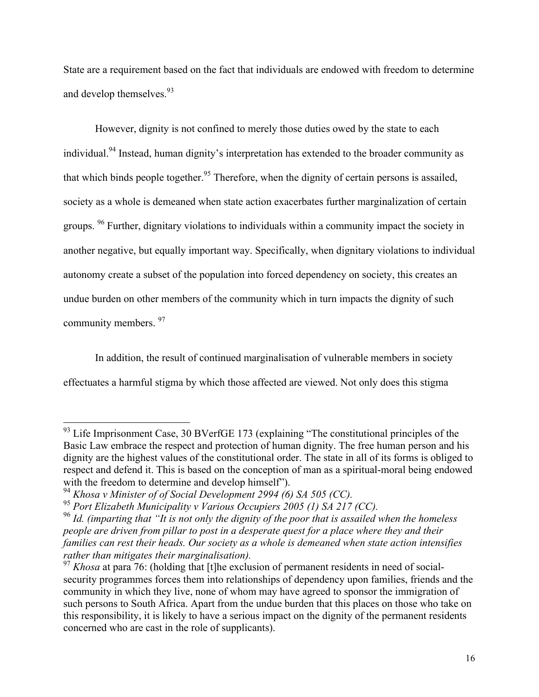State are a requirement based on the fact that individuals are endowed with freedom to determine and develop themselves.<sup>93</sup>

However, dignity is not confined to merely those duties owed by the state to each individual.<sup>94</sup> Instead, human dignity's interpretation has extended to the broader community as that which binds people together.<sup>95</sup> Therefore, when the dignity of certain persons is assailed, society as a whole is demeaned when state action exacerbates further marginalization of certain groups. <sup>96</sup> Further, dignitary violations to individuals within a community impact the society in another negative, but equally important way. Specifically, when dignitary violations to individual autonomy create a subset of the population into forced dependency on society, this creates an undue burden on other members of the community which in turn impacts the dignity of such community members. 97

In addition, the result of continued marginalisation of vulnerable members in society effectuates a harmful stigma by which those affected are viewed. Not only does this stigma

<sup>&</sup>lt;sup>93</sup> Life Imprisonment Case, 30 BVerfGE 173 (explaining "The constitutional principles of the Basic Law embrace the respect and protection of human dignity. The free human person and his dignity are the highest values of the constitutional order. The state in all of its forms is obliged to respect and defend it. This is based on the conception of man as a spiritual-moral being endowed with the freedom to determine and develop himself").

<sup>94</sup> *Khosa v Minister of of Social Development 2994 (6) SA 505 (CC).* 

<sup>95</sup> *Port Elizabeth Municipality v Various Occupiers 2005 (1) SA 217 (CC).* 

<sup>96</sup> *Id. (imparting that "It is not only the dignity of the poor that is assailed when the homeless people are driven from pillar to post in a desperate quest for a place where they and their families can rest their heads. Our society as a whole is demeaned when state action intensifies rather than mitigates their marginalisation).* 

<sup>97</sup> *Khosa* at para 76: (holding that [t]he exclusion of permanent residents in need of socialsecurity programmes forces them into relationships of dependency upon families, friends and the community in which they live, none of whom may have agreed to sponsor the immigration of such persons to South Africa. Apart from the undue burden that this places on those who take on this responsibility, it is likely to have a serious impact on the dignity of the permanent residents concerned who are cast in the role of supplicants).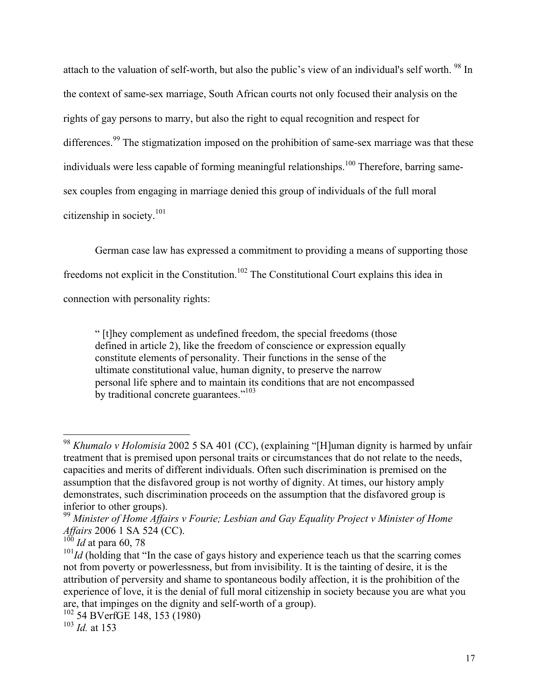attach to the valuation of self-worth, but also the public's view of an individual's self worth. <sup>98</sup> In the context of same-sex marriage, South African courts not only focused their analysis on the rights of gay persons to marry, but also the right to equal recognition and respect for differences.<sup>99</sup> The stigmatization imposed on the prohibition of same-sex marriage was that these individuals were less capable of forming meaningful relationships.<sup>100</sup> Therefore, barring samesex couples from engaging in marriage denied this group of individuals of the full moral citizenship in society.<sup>101</sup>

German case law has expressed a commitment to providing a means of supporting those freedoms not explicit in the Constitution.102 The Constitutional Court explains this idea in connection with personality rights:

" [t]hey complement as undefined freedom, the special freedoms (those defined in article 2), like the freedom of conscience or expression equally constitute elements of personality. Their functions in the sense of the ultimate constitutional value, human dignity, to preserve the narrow personal life sphere and to maintain its conditions that are not encompassed by traditional concrete guarantees."<sup>103</sup>

<sup>98</sup> *Khumalo v Holomisia* 2002 5 SA 401 (CC), (explaining "[H]uman dignity is harmed by unfair treatment that is premised upon personal traits or circumstances that do not relate to the needs, capacities and merits of different individuals. Often such discrimination is premised on the assumption that the disfavored group is not worthy of dignity. At times, our history amply demonstrates, such discrimination proceeds on the assumption that the disfavored group is inferior to other groups).

<sup>99</sup> *Minister of Home Affairs v Fourie; Lesbian and Gay Equality Project v Minister of Home Affairs* 2006 1 SA 524 (CC).

<sup>100</sup> *Id* at para 60, 78

 $101$ *Id* (holding that "In the case of gays history and experience teach us that the scarring comes not from poverty or powerlessness, but from invisibility. It is the tainting of desire, it is the attribution of perversity and shame to spontaneous bodily affection, it is the prohibition of the experience of love, it is the denial of full moral citizenship in society because you are what you are, that impinges on the dignity and self-worth of a group).

<sup>102</sup> 54 BVerfGE 148, 153 (1980)

<sup>103</sup> *Id.* at 153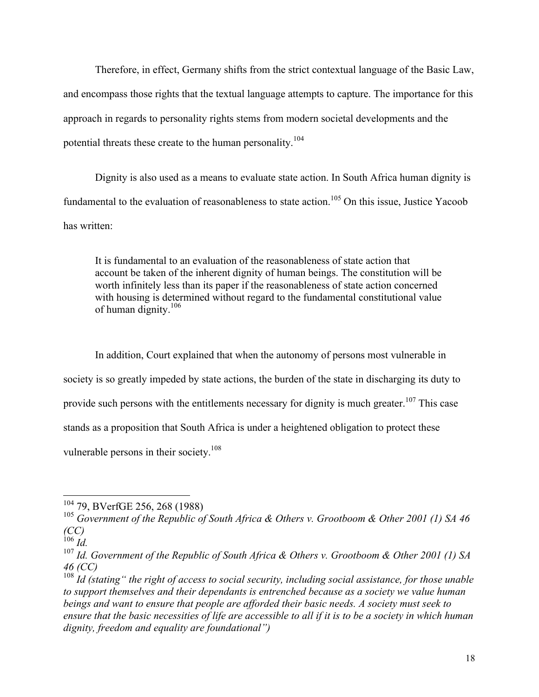Therefore, in effect, Germany shifts from the strict contextual language of the Basic Law, and encompass those rights that the textual language attempts to capture. The importance for this approach in regards to personality rights stems from modern societal developments and the potential threats these create to the human personality.<sup>104</sup>

Dignity is also used as a means to evaluate state action. In South Africa human dignity is fundamental to the evaluation of reasonableness to state action.<sup>105</sup> On this issue, Justice Yacoob has written:

It is fundamental to an evaluation of the reasonableness of state action that account be taken of the inherent dignity of human beings. The constitution will be worth infinitely less than its paper if the reasonableness of state action concerned with housing is determined without regard to the fundamental constitutional value of human dignity. $106$ 

In addition, Court explained that when the autonomy of persons most vulnerable in society is so greatly impeded by state actions, the burden of the state in discharging its duty to provide such persons with the entitlements necessary for dignity is much greater.<sup>107</sup> This case stands as a proposition that South Africa is under a heightened obligation to protect these vulnerable persons in their society.<sup>108</sup>

 $\frac{1}{106}$  *Id.* 

<sup>104</sup> 79, BVerfGE 256, 268 (1988)

<sup>&</sup>lt;sup>105</sup> Government of the Republic of South Africa & Others v. Grootboom & Other 2001 (1) SA 46 *(CC)*

<sup>107</sup> *Id. Government of the Republic of South Africa & Others v. Grootboom & Other 2001 (1) SA 46 (CC)*

<sup>108</sup> *Id (stating" the right of access to social security, including social assistance, for those unable to support themselves and their dependants is entrenched because as a society we value human beings and want to ensure that people are afforded their basic needs. A society must seek to ensure that the basic necessities of life are accessible to all if it is to be a society in which human dignity, freedom and equality are foundational")*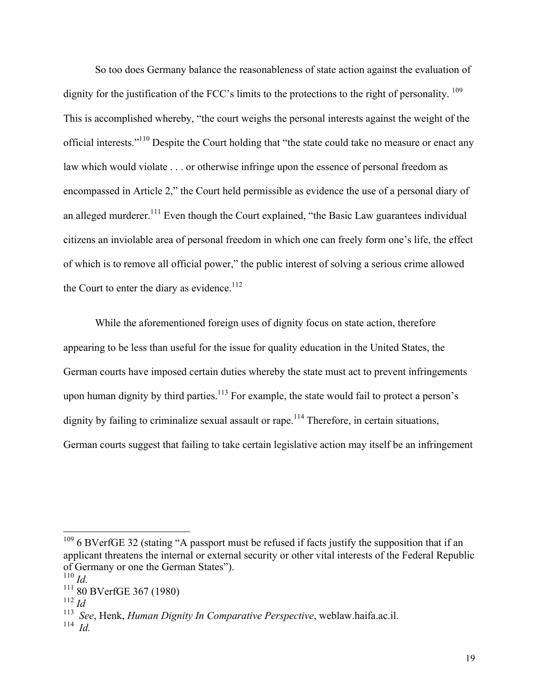So too does Germany balance the reasonableness of state action against the evaluation of dignity for the justification of the FCC's limits to the protections to the right of personality. <sup>109</sup> This is accomplished whereby, "the court weighs the personal interests against the weight of the official interests."110 Despite the Court holding that "the state could take no measure or enact any law which would violate . . . or otherwise infringe upon the essence of personal freedom as encompassed in Article 2," the Court held permissible as evidence the use of a personal diary of an alleged murderer.<sup>111</sup> Even though the Court explained, "the Basic Law guarantees individual citizens an inviolable area of personal freedom in which one can freely form one's life, the effect of which is to remove all official power," the public interest of solving a serious crime allowed the Court to enter the diary as evidence. $112$ 

While the aforementioned foreign uses of dignity focus on state action, therefore appearing to be less than useful for the issue for quality education in the United States, the German courts have imposed certain duties whereby the state must act to prevent infringements upon human dignity by third parties.<sup>113</sup> For example, the state would fail to protect a person's dignity by failing to criminalize sexual assault or rape.<sup>114</sup> Therefore, in certain situations, German courts suggest that failing to take certain legislative action may itself be an infringement

<sup>&</sup>lt;sup>109</sup> 6 BVerfGE 32 (stating "A passport must be refused if facts justify the supposition that if an applicant threatens the internal or external security or other vital interests of the Federal Republic of Germany or one the German States").

 $^{110}$  *Id*.

<sup>111</sup> 80 BVerfGE 367 (1980)

<sup>112</sup> *Id*

<sup>113</sup> *See*, Henk, *Human Dignity In Comparative Perspective*, weblaw.haifa.ac.il.

<sup>114</sup> *Id.*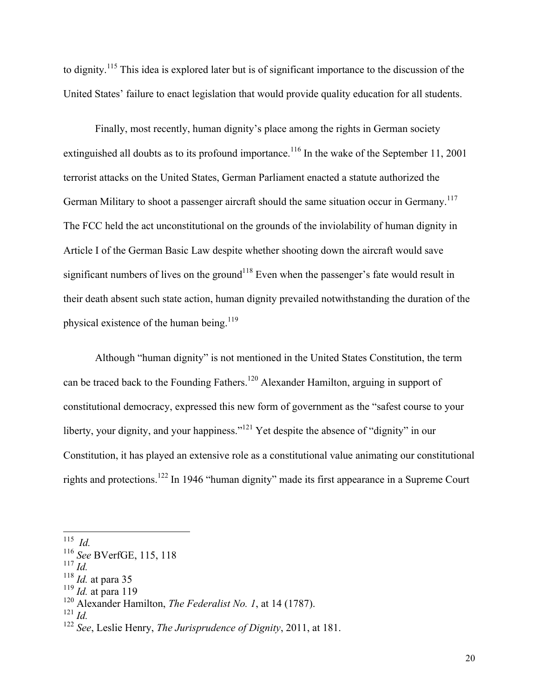to dignity.<sup>115</sup> This idea is explored later but is of significant importance to the discussion of the United States' failure to enact legislation that would provide quality education for all students.

Finally, most recently, human dignity's place among the rights in German society extinguished all doubts as to its profound importance.<sup>116</sup> In the wake of the September 11, 2001 terrorist attacks on the United States, German Parliament enacted a statute authorized the German Military to shoot a passenger aircraft should the same situation occur in Germany.<sup>117</sup> The FCC held the act unconstitutional on the grounds of the inviolability of human dignity in Article I of the German Basic Law despite whether shooting down the aircraft would save significant numbers of lives on the ground<sup>118</sup> Even when the passenger's fate would result in their death absent such state action, human dignity prevailed notwithstanding the duration of the physical existence of the human being.<sup>119</sup>

Although "human dignity" is not mentioned in the United States Constitution, the term can be traced back to the Founding Fathers.<sup>120</sup> Alexander Hamilton, arguing in support of constitutional democracy, expressed this new form of government as the "safest course to your liberty, your dignity, and your happiness."<sup>121</sup> Yet despite the absence of "dignity" in our Constitution, it has played an extensive role as a constitutional value animating our constitutional rights and protections.<sup>122</sup> In 1946 "human dignity" made its first appearance in a Supreme Court

<sup>115</sup> *Id.*

<sup>116</sup> *See* BVerfGE, 115, 118

 $^{117}$  *Id.* 

<sup>118</sup> *Id.* at para 35

<sup>119</sup> *Id.* at para 119

<sup>120</sup> Alexander Hamilton, *The Federalist No. 1*, at 14 (1787).

<sup>121</sup> *Id.*

<sup>122</sup> *See*, Leslie Henry, *The Jurisprudence of Dignity*, 2011, at 181.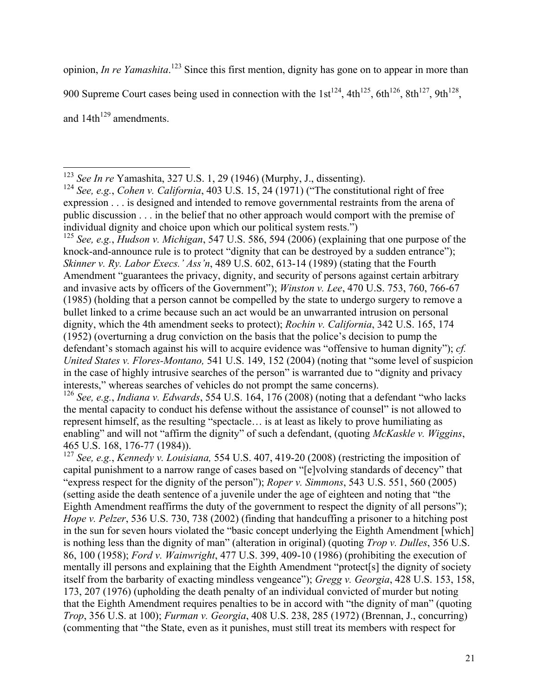opinion, *In re Yamashita*. <sup>123</sup> Since this first mention, dignity has gone on to appear in more than

900 Supreme Court cases being used in connection with the  $1st^{124}$ ,  $4th^{125}$ ,  $6th^{126}$ ,  $8th^{127}$ ,  $9th^{128}$ ,

and  $14th^{129}$  amendments.

<sup>125</sup> *See, e.g.*, *Hudson v. Michigan*, 547 U.S. 586, 594 (2006) (explaining that one purpose of the knock-and-announce rule is to protect "dignity that can be destroyed by a sudden entrance"); *Skinner v. Ry. Labor Execs.' Ass'n*, 489 U.S. 602, 613-14 (1989) (stating that the Fourth Amendment "guarantees the privacy, dignity, and security of persons against certain arbitrary and invasive acts by officers of the Government"); *Winston v. Lee*, 470 U.S. 753, 760, 766-67 (1985) (holding that a person cannot be compelled by the state to undergo surgery to remove a bullet linked to a crime because such an act would be an unwarranted intrusion on personal dignity, which the 4th amendment seeks to protect); *Rochin v. California*, 342 U.S. 165, 174 (1952) (overturning a drug conviction on the basis that the police's decision to pump the defendant's stomach against his will to acquire evidence was "offensive to human dignity"); *cf. United States v. Flores-Montano,* 541 U.S. 149, 152 (2004) (noting that "some level of suspicion in the case of highly intrusive searches of the person" is warranted due to "dignity and privacy interests," whereas searches of vehicles do not prompt the same concerns).

<sup>126</sup> *See, e.g.*, *Indiana v. Edwards*, 554 U.S. 164, 176 (2008) (noting that a defendant "who lacks the mental capacity to conduct his defense without the assistance of counsel" is not allowed to represent himself, as the resulting "spectacle… is at least as likely to prove humiliating as enabling" and will not "affirm the dignity" of such a defendant, (quoting *McKaskle v. Wiggins*, 465 U.S. 168, 176-77 (1984)).

<sup>127</sup> *See, e.g.*, *Kennedy v. Louisiana,* 554 U.S. 407, 419-20 (2008) (restricting the imposition of capital punishment to a narrow range of cases based on "[e]volving standards of decency" that "express respect for the dignity of the person"); *Roper v. Simmons*, 543 U.S. 551, 560 (2005) (setting aside the death sentence of a juvenile under the age of eighteen and noting that "the Eighth Amendment reaffirms the duty of the government to respect the dignity of all persons"); *Hope v. Pelzer*, 536 U.S. 730, 738 (2002) (finding that handcuffing a prisoner to a hitching post in the sun for seven hours violated the "basic concept underlying the Eighth Amendment [which] is nothing less than the dignity of man" (alteration in original) (quoting *Trop v. Dulles*, 356 U.S. 86, 100 (1958); *Ford v. Wainwright*, 477 U.S. 399, 409-10 (1986) (prohibiting the execution of mentally ill persons and explaining that the Eighth Amendment "protect[s] the dignity of society itself from the barbarity of exacting mindless vengeance"); *Gregg v. Georgia*, 428 U.S. 153, 158, 173, 207 (1976) (upholding the death penalty of an individual convicted of murder but noting that the Eighth Amendment requires penalties to be in accord with "the dignity of man" (quoting *Trop*, 356 U.S. at 100); *Furman v. Georgia*, 408 U.S. 238, 285 (1972) (Brennan, J., concurring) (commenting that "the State, even as it punishes, must still treat its members with respect for

<sup>123</sup> *See In re* Yamashita, 327 U.S. 1, 29 (1946) (Murphy, J., dissenting).

<sup>124</sup> *See, e.g.*, *Cohen v. California*, 403 U.S. 15, 24 (1971) ("The constitutional right of free expression . . . is designed and intended to remove governmental restraints from the arena of public discussion . . . in the belief that no other approach would comport with the premise of individual dignity and choice upon which our political system rests.")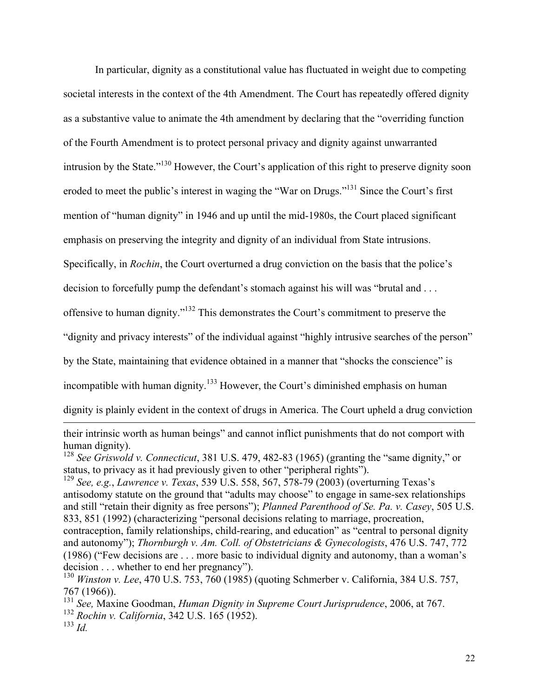In particular, dignity as a constitutional value has fluctuated in weight due to competing societal interests in the context of the 4th Amendment. The Court has repeatedly offered dignity as a substantive value to animate the 4th amendment by declaring that the "overriding function of the Fourth Amendment is to protect personal privacy and dignity against unwarranted intrusion by the State."130 However, the Court's application of this right to preserve dignity soon eroded to meet the public's interest in waging the "War on Drugs."131 Since the Court's first mention of "human dignity" in 1946 and up until the mid-1980s, the Court placed significant emphasis on preserving the integrity and dignity of an individual from State intrusions. Specifically, in *Rochin*, the Court overturned a drug conviction on the basis that the police's decision to forcefully pump the defendant's stomach against his will was "brutal and . . . offensive to human dignity."<sup>132</sup> This demonstrates the Court's commitment to preserve the "dignity and privacy interests" of the individual against "highly intrusive searches of the person" by the State, maintaining that evidence obtained in a manner that "shocks the conscience" is

incompatible with human dignity.<sup>133</sup> However, the Court's diminished emphasis on human

dignity is plainly evident in the context of drugs in America. The Court upheld a drug conviction

their intrinsic worth as human beings" and cannot inflict punishments that do not comport with human dignity).

<sup>129</sup> *See, e.g.*, *Lawrence v. Texas*, 539 U.S. 558, 567, 578-79 (2003) (overturning Texas's antisodomy statute on the ground that "adults may choose" to engage in same-sex relationships and still "retain their dignity as free persons"); *Planned Parenthood of Se. Pa. v. Casey*, 505 U.S. 833, 851 (1992) (characterizing "personal decisions relating to marriage, procreation, contraception, family relationships, child-rearing, and education" as "central to personal dignity and autonomy"); *Thornburgh v. Am. Coll. of Obstetricians & Gynecologists*, 476 U.S. 747, 772 (1986) ("Few decisions are . . . more basic to individual dignity and autonomy, than a woman's decision . . . whether to end her pregnancy").

<sup>128</sup> *See Griswold v. Connecticut*, 381 U.S. 479, 482-83 (1965) (granting the "same dignity," or status, to privacy as it had previously given to other "peripheral rights").

<sup>130</sup> *Winston v. Lee*, 470 U.S. 753, 760 (1985) (quoting Schmerber v. California, 384 U.S. 757, 767 (1966)).

<sup>131</sup> *See,* Maxine Goodman, *Human Dignity in Supreme Court Jurisprudence*, 2006, at 767. <sup>132</sup> *Rochin v. California*, 342 U.S. 165 (1952).

<sup>133</sup> *Id.*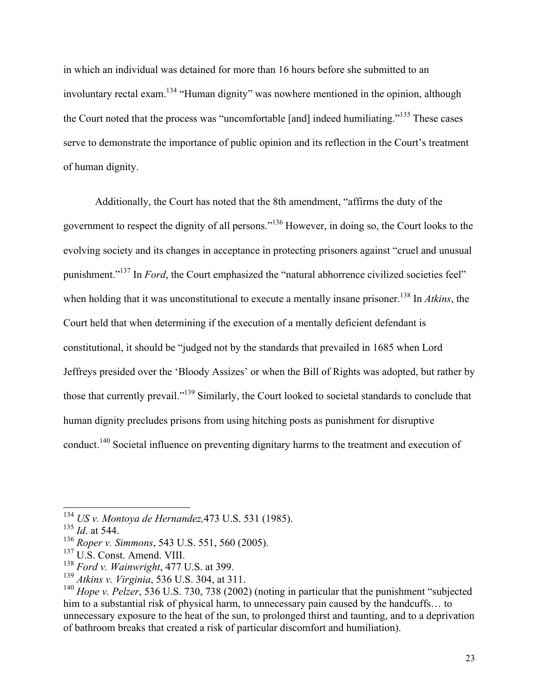in which an individual was detained for more than 16 hours before she submitted to an involuntary rectal exam.<sup>134</sup> "Human dignity" was nowhere mentioned in the opinion, although the Court noted that the process was "uncomfortable [and] indeed humiliating."<sup>135</sup> These cases serve to demonstrate the importance of public opinion and its reflection in the Court's treatment of human dignity.

Additionally, the Court has noted that the 8th amendment, "affirms the duty of the government to respect the dignity of all persons."<sup>136</sup> However, in doing so, the Court looks to the evolving society and its changes in acceptance in protecting prisoners against "cruel and unusual punishment."<sup>137</sup> In *Ford*, the Court emphasized the "natural abhorrence civilized societies feel" when holding that it was unconstitutional to execute a mentally insane prisoner.<sup>138</sup> In *Atkins*, the Court held that when determining if the execution of a mentally deficient defendant is constitutional, it should be "judged not by the standards that prevailed in 1685 when Lord Jeffreys presided over the 'Bloody Assizes' or when the Bill of Rights was adopted, but rather by those that currently prevail."<sup>139</sup> Similarly, the Court looked to societal standards to conclude that human dignity precludes prisons from using hitching posts as punishment for disruptive conduct.<sup>140</sup> Societal influence on preventing dignitary harms to the treatment and execution of

<sup>134</sup> *US v. Montoya de Hernandez,*473 U.S. 531 (1985).

<sup>135</sup> *Id*. at 544.

<sup>136</sup> *Roper v. Simmons*, 543 U.S. 551, 560 (2005).

<sup>137</sup> U.S. Const. Amend. VIII.

<sup>138</sup> *Ford v. Wainwright*, 477 U.S. at 399.

<sup>139</sup> *Atkins v. Virginia*, 536 U.S. 304, at 311.

<sup>140</sup> *Hope v. Pelzer*, 536 U.S. 730, 738 (2002) (noting in particular that the punishment "subjected him to a substantial risk of physical harm, to unnecessary pain caused by the handcuffs… to unnecessary exposure to the heat of the sun, to prolonged thirst and taunting, and to a deprivation of bathroom breaks that created a risk of particular discomfort and humiliation).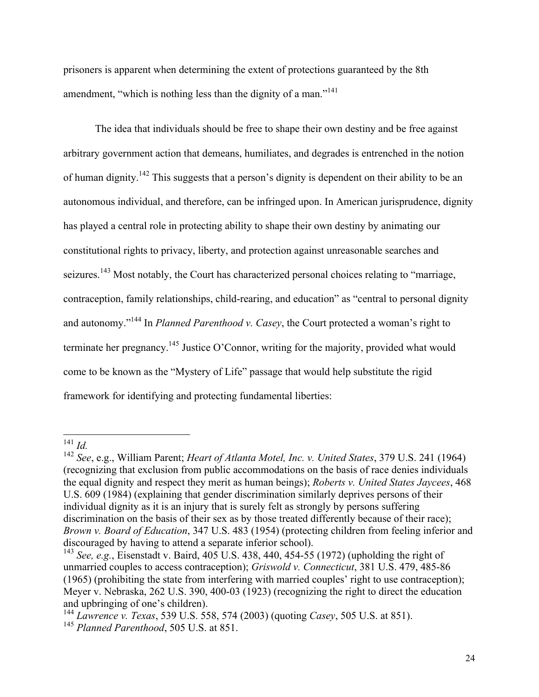prisoners is apparent when determining the extent of protections guaranteed by the 8th amendment, "which is nothing less than the dignity of a man."<sup>141</sup>

The idea that individuals should be free to shape their own destiny and be free against arbitrary government action that demeans, humiliates, and degrades is entrenched in the notion of human dignity.<sup>142</sup> This suggests that a person's dignity is dependent on their ability to be an autonomous individual, and therefore, can be infringed upon. In American jurisprudence, dignity has played a central role in protecting ability to shape their own destiny by animating our constitutional rights to privacy, liberty, and protection against unreasonable searches and seizures.<sup>143</sup> Most notably, the Court has characterized personal choices relating to "marriage, contraception, family relationships, child-rearing, and education" as "central to personal dignity and autonomy."144 In *Planned Parenthood v. Casey*, the Court protected a woman's right to terminate her pregnancy.145 Justice O'Connor, writing for the majority, provided what would come to be known as the "Mystery of Life" passage that would help substitute the rigid framework for identifying and protecting fundamental liberties:

<sup>141</sup> *Id.*

<sup>142</sup> *See*, e.g., William Parent; *Heart of Atlanta Motel, Inc. v. United States*, 379 U.S. 241 (1964) (recognizing that exclusion from public accommodations on the basis of race denies individuals the equal dignity and respect they merit as human beings); *Roberts v. United States Jaycees*, 468 U.S. 609 (1984) (explaining that gender discrimination similarly deprives persons of their individual dignity as it is an injury that is surely felt as strongly by persons suffering discrimination on the basis of their sex as by those treated differently because of their race); *Brown v. Board of Education*, 347 U.S. 483 (1954) (protecting children from feeling inferior and discouraged by having to attend a separate inferior school).

<sup>143</sup> *See, e.g.*, Eisenstadt v. Baird, 405 U.S. 438, 440, 454-55 (1972) (upholding the right of unmarried couples to access contraception); *Griswold v. Connecticut*, 381 U.S. 479, 485-86 (1965) (prohibiting the state from interfering with married couples' right to use contraception); Meyer v. Nebraska, 262 U.S. 390, 400-03 (1923) (recognizing the right to direct the education and upbringing of one's children).

<sup>144</sup> *Lawrence v. Texas*, 539 U.S. 558, 574 (2003) (quoting *Casey*, 505 U.S. at 851). <sup>145</sup> *Planned Parenthood*, 505 U.S. at 851.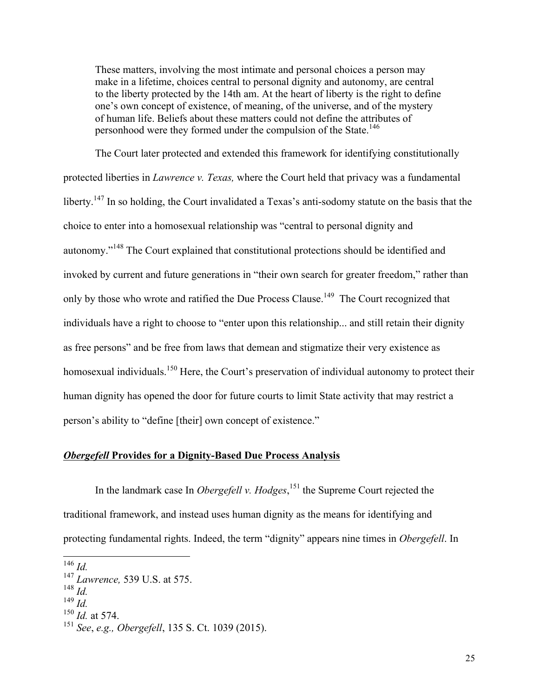These matters, involving the most intimate and personal choices a person may make in a lifetime, choices central to personal dignity and autonomy, are central to the liberty protected by the 14th am. At the heart of liberty is the right to define one's own concept of existence, of meaning, of the universe, and of the mystery of human life. Beliefs about these matters could not define the attributes of personhood were they formed under the compulsion of the State.<sup>146</sup>

The Court later protected and extended this framework for identifying constitutionally protected liberties in *Lawrence v. Texas,* where the Court held that privacy was a fundamental liberty.<sup>147</sup> In so holding, the Court invalidated a Texas's anti-sodomy statute on the basis that the choice to enter into a homosexual relationship was "central to personal dignity and autonomy."<sup>148</sup> The Court explained that constitutional protections should be identified and invoked by current and future generations in "their own search for greater freedom," rather than only by those who wrote and ratified the Due Process Clause.<sup>149</sup> The Court recognized that individuals have a right to choose to "enter upon this relationship... and still retain their dignity as free persons" and be free from laws that demean and stigmatize their very existence as homosexual individuals.<sup>150</sup> Here, the Court's preservation of individual autonomy to protect their human dignity has opened the door for future courts to limit State activity that may restrict a person's ability to "define [their] own concept of existence."

## *Obergefell* **Provides for a Dignity-Based Due Process Analysis**

In the landmark case In *Obergefell v. Hodges*, <sup>151</sup> the Supreme Court rejected the traditional framework, and instead uses human dignity as the means for identifying and protecting fundamental rights. Indeed, the term "dignity" appears nine times in *Obergefell*. In

<sup>146</sup> *Id.*

<sup>147</sup> *Lawrence,* 539 U.S. at 575.

<sup>148</sup> *Id.*

<sup>149</sup> *Id.*

<sup>150</sup> *Id.* at 574.

<sup>151</sup> *See*, *e.g., Obergefell*, 135 S. Ct. 1039 (2015).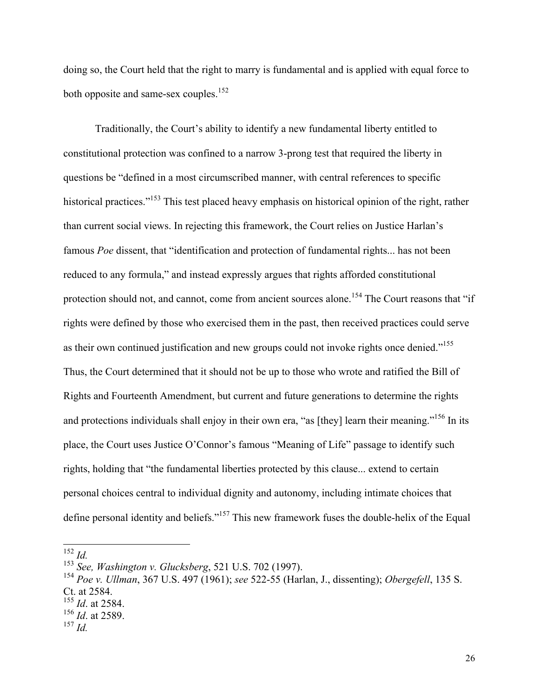doing so, the Court held that the right to marry is fundamental and is applied with equal force to both opposite and same-sex couples.<sup>152</sup>

Traditionally, the Court's ability to identify a new fundamental liberty entitled to constitutional protection was confined to a narrow 3-prong test that required the liberty in questions be "defined in a most circumscribed manner, with central references to specific historical practices."<sup>153</sup> This test placed heavy emphasis on historical opinion of the right, rather than current social views. In rejecting this framework, the Court relies on Justice Harlan's famous *Poe* dissent, that "identification and protection of fundamental rights... has not been reduced to any formula," and instead expressly argues that rights afforded constitutional protection should not, and cannot, come from ancient sources alone.<sup>154</sup> The Court reasons that "if rights were defined by those who exercised them in the past, then received practices could serve as their own continued justification and new groups could not invoke rights once denied."<sup>155</sup> Thus, the Court determined that it should not be up to those who wrote and ratified the Bill of Rights and Fourteenth Amendment, but current and future generations to determine the rights and protections individuals shall enjoy in their own era, "as [they] learn their meaning."<sup>156</sup> In its place, the Court uses Justice O'Connor's famous "Meaning of Life" passage to identify such rights, holding that "the fundamental liberties protected by this clause... extend to certain personal choices central to individual dignity and autonomy, including intimate choices that define personal identity and beliefs."157 This new framework fuses the double-helix of the Equal

<sup>152</sup> *Id.*

<sup>153</sup> *See, Washington v. Glucksberg*, 521 U.S. 702 (1997).

<sup>154</sup> *Poe v. Ullman*, 367 U.S. 497 (1961); *see* 522-55 (Harlan, J., dissenting); *Obergefell*, 135 S. Ct. at 2584.

<sup>155</sup> *Id*. at 2584.

<sup>156</sup> *Id*. at 2589.

<sup>157</sup> *Id.*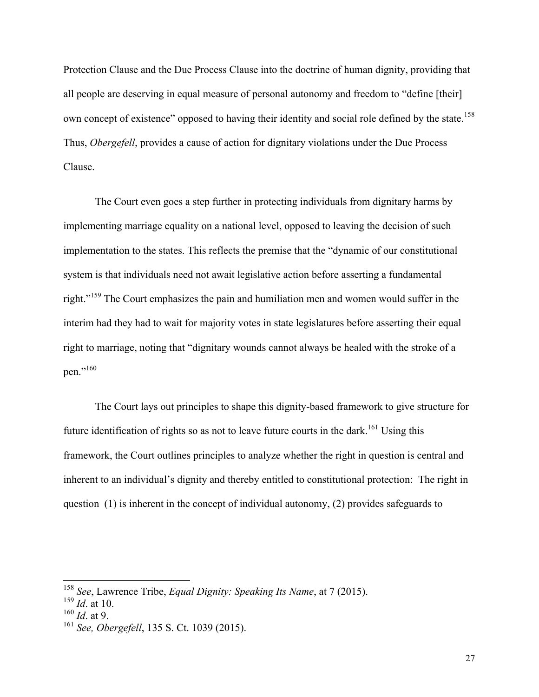Protection Clause and the Due Process Clause into the doctrine of human dignity, providing that all people are deserving in equal measure of personal autonomy and freedom to "define [their] own concept of existence" opposed to having their identity and social role defined by the state.<sup>158</sup> Thus, *Obergefell*, provides a cause of action for dignitary violations under the Due Process Clause.

The Court even goes a step further in protecting individuals from dignitary harms by implementing marriage equality on a national level, opposed to leaving the decision of such implementation to the states. This reflects the premise that the "dynamic of our constitutional system is that individuals need not await legislative action before asserting a fundamental right."159 The Court emphasizes the pain and humiliation men and women would suffer in the interim had they had to wait for majority votes in state legislatures before asserting their equal right to marriage, noting that "dignitary wounds cannot always be healed with the stroke of a pen."160

The Court lays out principles to shape this dignity-based framework to give structure for future identification of rights so as not to leave future courts in the dark.<sup>161</sup> Using this framework, the Court outlines principles to analyze whether the right in question is central and inherent to an individual's dignity and thereby entitled to constitutional protection: The right in question (1) is inherent in the concept of individual autonomy, (2) provides safeguards to

<sup>158</sup> *See*, Lawrence Tribe, *Equal Dignity: Speaking Its Name*, at 7 (2015).

 $^{159}$   $\frac{15}{1}$ , at 10.

<sup>160</sup> *Id*. at 9.

<sup>161</sup> *See, Obergefell*, 135 S. Ct. 1039 (2015).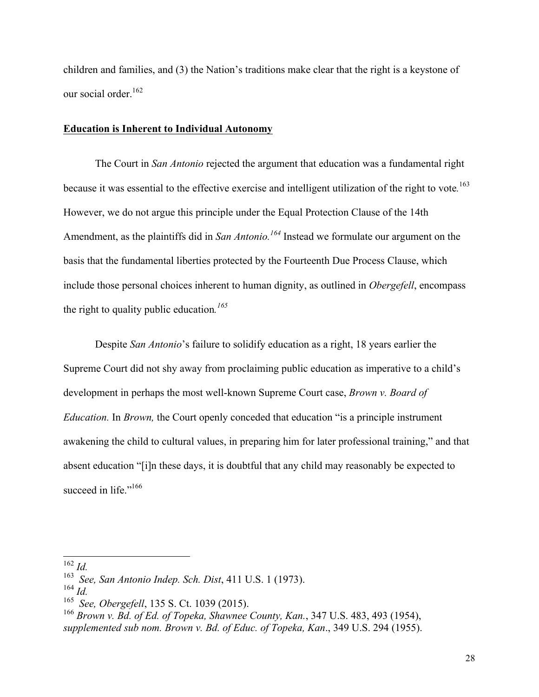children and families, and (3) the Nation's traditions make clear that the right is a keystone of our social order.<sup>162</sup>

#### **Education is Inherent to Individual Autonomy**

The Court in *San Antonio* rejected the argument that education was a fundamental right because it was essential to the effective exercise and intelligent utilization of the right to vote*.* 163 However, we do not argue this principle under the Equal Protection Clause of the 14th Amendment, as the plaintiffs did in *San Antonio*.<sup>164</sup> Instead we formulate our argument on the basis that the fundamental liberties protected by the Fourteenth Due Process Clause, which include those personal choices inherent to human dignity, as outlined in *Obergefell*, encompass the right to quality public education*. 165*

Despite *San Antonio*'s failure to solidify education as a right, 18 years earlier the Supreme Court did not shy away from proclaiming public education as imperative to a child's development in perhaps the most well-known Supreme Court case, *Brown v. Board of Education.* In *Brown,* the Court openly conceded that education "is a principle instrument awakening the child to cultural values, in preparing him for later professional training," and that absent education "[i]n these days, it is doubtful that any child may reasonably be expected to succeed in life."<sup>166</sup>

<sup>162</sup> *Id.*

<sup>163</sup> *See, San Antonio Indep. Sch. Dist*, 411 U.S. 1 (1973).

<sup>164</sup> *Id.*

<sup>165</sup> *See, Obergefell*, 135 S. Ct. 1039 (2015).

<sup>166</sup> *Brown v. Bd. of Ed. of Topeka, Shawnee County, Kan.*, 347 U.S. 483, 493 (1954), *supplemented sub nom. Brown v. Bd. of Educ. of Topeka, Kan*., 349 U.S. 294 (1955).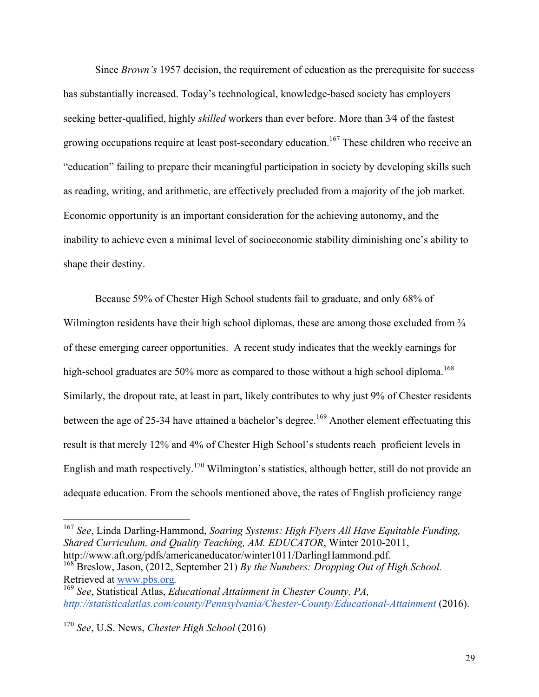Since *Brown's* 1957 decision, the requirement of education as the prerequisite for success has substantially increased. Today's technological, knowledge-based society has employers seeking better-qualified, highly *skilled* workers than ever before. More than 3⁄4 of the fastest growing occupations require at least post-secondary education.<sup>167</sup> These children who receive an "education" failing to prepare their meaningful participation in society by developing skills such as reading, writing, and arithmetic, are effectively precluded from a majority of the job market. Economic opportunity is an important consideration for the achieving autonomy, and the inability to achieve even a minimal level of socioeconomic stability diminishing one's ability to shape their destiny.

Because 59% of Chester High School students fail to graduate, and only 68% of Wilmington residents have their high school diplomas, these are among those excluded from  $\frac{3}{4}$ of these emerging career opportunities. A recent study indicates that the weekly earnings for high-school graduates are 50% more as compared to those without a high school diploma.<sup>168</sup> Similarly, the dropout rate, at least in part, likely contributes to why just 9% of Chester residents between the age of 25-34 have attained a bachelor's degree.<sup>169</sup> Another element effectuating this result is that merely 12% and 4% of Chester High School's students reach proficient levels in English and math respectively.<sup>170</sup> Wilmington's statistics, although better, still do not provide an adequate education. From the schools mentioned above, the rates of English proficiency range

<sup>167</sup> *See*, Linda Darling-Hammond, *Soaring Systems: High Flyers All Have Equitable Funding, Shared Curriculum, and Quality Teaching, AM. EDUCATOR*, Winter 2010-2011, http://www.aft.org/pdfs/americaneducator/winter1011/DarlingHammond.pdf.

<sup>168</sup> Breslow, Jason, (2012, September 21) *By the Numbers: Dropping Out of High School.* Retrieved at www.pbs.org.<br><sup>169</sup> See, Statistical Atlas, *Educational Attainment in Chester County*, *PA*,

*http://statisticalatlas.com/county/Pennsylvania/Chester-County/Educational-Attainment* (2016).

<sup>170</sup> *See*, U.S. News, *Chester High School* (2016)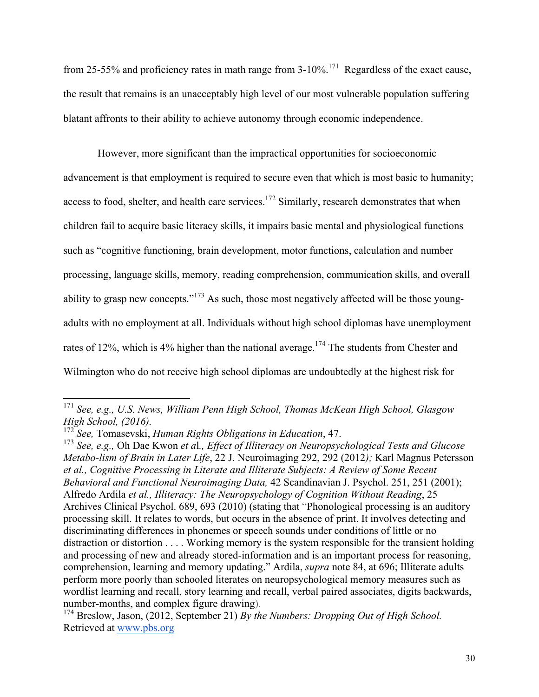from 25-55% and proficiency rates in math range from  $3-10\%$ <sup>171</sup> Regardless of the exact cause, the result that remains is an unacceptably high level of our most vulnerable population suffering blatant affronts to their ability to achieve autonomy through economic independence.

However, more significant than the impractical opportunities for socioeconomic advancement is that employment is required to secure even that which is most basic to humanity; access to food, shelter, and health care services.<sup>172</sup> Similarly, research demonstrates that when children fail to acquire basic literacy skills, it impairs basic mental and physiological functions such as "cognitive functioning, brain development, motor functions, calculation and number processing, language skills, memory, reading comprehension, communication skills, and overall ability to grasp new concepts."<sup>173</sup> As such, those most negatively affected will be those youngadults with no employment at all. Individuals without high school diplomas have unemployment rates of 12%, which is 4% higher than the national average.<sup>174</sup> The students from Chester and Wilmington who do not receive high school diplomas are undoubtedly at the highest risk for

<sup>171</sup> *See, e.g., U.S. News, William Penn High School, Thomas McKean High School, Glasgow High School, (2016).*

<sup>172</sup> *See,* Tomasevski, *Human Rights Obligations in Education*, 47.

<sup>173</sup> *See, e.g.,* Oh Dae Kwon *et a*l*., Effect of Illiteracy on Neuropsychological Tests and Glucose Metabo-lism of Brain in Later Life*, 22 J. Neuroimaging 292, 292 (2012*);* Karl Magnus Petersson *et al., Cognitive Processing in Literate and Illiterate Subjects: A Review of Some Recent Behavioral and Functional Neuroimaging Data,* 42 Scandinavian J. Psychol. 251, 251 (2001); Alfredo Ardila *et al., Illiteracy: The Neuropsychology of Cognition Without Reading*, 25 Archives Clinical Psychol. 689, 693 (2010) (stating that "Phonological processing is an auditory processing skill. It relates to words, but occurs in the absence of print. It involves detecting and discriminating differences in phonemes or speech sounds under conditions of little or no distraction or distortion . . . . Working memory is the system responsible for the transient holding and processing of new and already stored-information and is an important process for reasoning, comprehension, learning and memory updating." Ardila, *supra* note 84, at 696; Illiterate adults perform more poorly than schooled literates on neuropsychological memory measures such as wordlist learning and recall, story learning and recall, verbal paired associates, digits backwards, number-months, and complex figure drawing).

<sup>&</sup>lt;sup>174</sup> Breslow, Jason, (2012, September 21) *By the Numbers: Dropping Out of High School.* Retrieved at www.pbs.org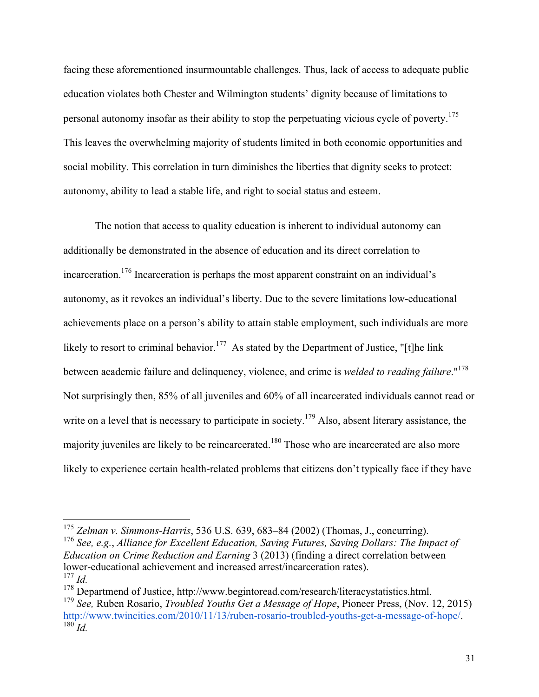facing these aforementioned insurmountable challenges. Thus, lack of access to adequate public education violates both Chester and Wilmington students' dignity because of limitations to personal autonomy insofar as their ability to stop the perpetuating vicious cycle of poverty.<sup>175</sup> This leaves the overwhelming majority of students limited in both economic opportunities and social mobility. This correlation in turn diminishes the liberties that dignity seeks to protect: autonomy, ability to lead a stable life, and right to social status and esteem.

The notion that access to quality education is inherent to individual autonomy can additionally be demonstrated in the absence of education and its direct correlation to incarceration.176 Incarceration is perhaps the most apparent constraint on an individual's autonomy, as it revokes an individual's liberty. Due to the severe limitations low-educational achievements place on a person's ability to attain stable employment, such individuals are more likely to resort to criminal behavior.<sup>177</sup> As stated by the Department of Justice, "[t]he link between academic failure and delinquency, violence, and crime is *welded to reading failure*."178 Not surprisingly then, 85% of all juveniles and 60% of all incarcerated individuals cannot read or write on a level that is necessary to participate in society.<sup>179</sup> Also, absent literary assistance, the majority juveniles are likely to be reincarcerated.<sup>180</sup> Those who are incarcerated are also more likely to experience certain health-related problems that citizens don't typically face if they have

<sup>176</sup> *See, e.g.*, *Alliance for Excellent Education, Saving Futures, Saving Dollars: The Impact of Education on Crime Reduction and Earning* 3 (2013) (finding a direct correlation between lower-educational achievement and increased arrest/incarceration rates). <sup>177</sup> *Id.*

<sup>175</sup> *Zelman v. Simmons-Harris*, 536 U.S. 639, 683–84 (2002) (Thomas, J., concurring).

<sup>&</sup>lt;sup>178</sup> Departmend of Justice, http://www.begintoread.com/research/literacystatistics.html.

<sup>179</sup> *See,* Ruben Rosario, *Troubled Youths Get a Message of Hope*, Pioneer Press, (Nov. 12, 2015) http://www.twincities.com/2010/11/13/ruben-rosario-troubled-youths-get-a-message-of-hope/. <sup>180</sup> *Id.*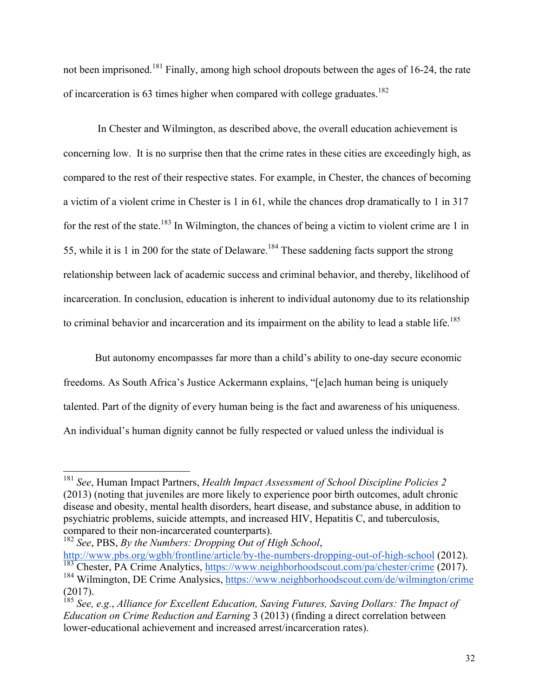not been imprisoned.<sup>181</sup> Finally, among high school dropouts between the ages of 16-24, the rate of incarceration is 63 times higher when compared with college graduates.<sup>182</sup>

In Chester and Wilmington, as described above, the overall education achievement is concerning low. It is no surprise then that the crime rates in these cities are exceedingly high, as compared to the rest of their respective states. For example, in Chester, the chances of becoming a victim of a violent crime in Chester is 1 in 61, while the chances drop dramatically to 1 in 317 for the rest of the state.<sup>183</sup> In Wilmington, the chances of being a victim to violent crime are 1 in 55, while it is 1 in 200 for the state of Delaware.<sup>184</sup> These saddening facts support the strong relationship between lack of academic success and criminal behavior, and thereby, likelihood of incarceration. In conclusion, education is inherent to individual autonomy due to its relationship to criminal behavior and incarceration and its impairment on the ability to lead a stable life.<sup>185</sup>

But autonomy encompasses far more than a child's ability to one-day secure economic freedoms. As South Africa's Justice Ackermann explains, "[e]ach human being is uniquely talented. Part of the dignity of every human being is the fact and awareness of his uniqueness. An individual's human dignity cannot be fully respected or valued unless the individual is

<sup>181</sup> *See*, Human Impact Partners, *Health Impact Assessment of School Discipline Policies 2* (2013) (noting that juveniles are more likely to experience poor birth outcomes, adult chronic disease and obesity, mental health disorders, heart disease, and substance abuse, in addition to psychiatric problems, suicide attempts, and increased HIV, Hepatitis C, and tuberculosis, compared to their non-incarcerated counterparts).

<sup>182</sup> *See*, PBS, *By the Numbers: Dropping Out of High School*, http://www.pbs.org/wgbh/frontline/article/by-the-numbers-dropping-out-of-high-school (2012). <sup>183</sup> Chester, PA Crime Analytics, https://www.neighborhoodscout.com/pa/chester/crime (2017). <sup>184</sup> Wilmington, DE Crime Analysics, https://www.neighborhoodscout.com/de/wilmington/crime (2017).

<sup>185</sup> *See, e.g.*, *Alliance for Excellent Education, Saving Futures, Saving Dollars: The Impact of Education on Crime Reduction and Earning* 3 (2013) (finding a direct correlation between lower-educational achievement and increased arrest/incarceration rates).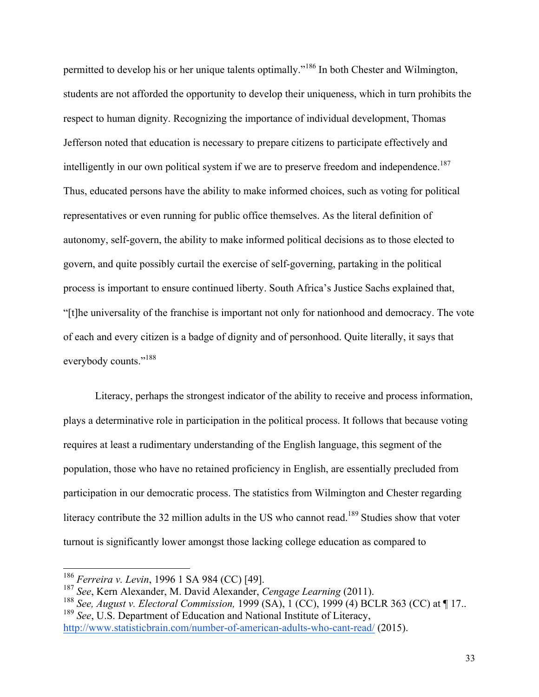permitted to develop his or her unique talents optimally."<sup>186</sup> In both Chester and Wilmington, students are not afforded the opportunity to develop their uniqueness, which in turn prohibits the respect to human dignity. Recognizing the importance of individual development, Thomas Jefferson noted that education is necessary to prepare citizens to participate effectively and intelligently in our own political system if we are to preserve freedom and independence.<sup>187</sup> Thus, educated persons have the ability to make informed choices, such as voting for political representatives or even running for public office themselves. As the literal definition of autonomy, self-govern, the ability to make informed political decisions as to those elected to govern, and quite possibly curtail the exercise of self-governing, partaking in the political process is important to ensure continued liberty. South Africa's Justice Sachs explained that, "[t]he universality of the franchise is important not only for nationhood and democracy. The vote of each and every citizen is a badge of dignity and of personhood. Quite literally, it says that everybody counts."188

Literacy, perhaps the strongest indicator of the ability to receive and process information, plays a determinative role in participation in the political process. It follows that because voting requires at least a rudimentary understanding of the English language, this segment of the population, those who have no retained proficiency in English, are essentially precluded from participation in our democratic process. The statistics from Wilmington and Chester regarding literacy contribute the 32 million adults in the US who cannot read.<sup>189</sup> Studies show that voter turnout is significantly lower amongst those lacking college education as compared to

<sup>186</sup> *Ferreira v. Levin*, 1996 1 SA 984 (CC) [49].

<sup>187</sup> *See*, Kern Alexander, M. David Alexander, *Cengage Learning* (2011).

<sup>188</sup> *See, August v. Electoral Commission,* 1999 (SA), 1 (CC), 1999 (4) BCLR 363 (CC) at ¶ 17.. <sup>189</sup> *See*, U.S. Department of Education and National Institute of Literacy,

http://www.statisticbrain.com/number-of-american-adults-who-cant-read/ (2015).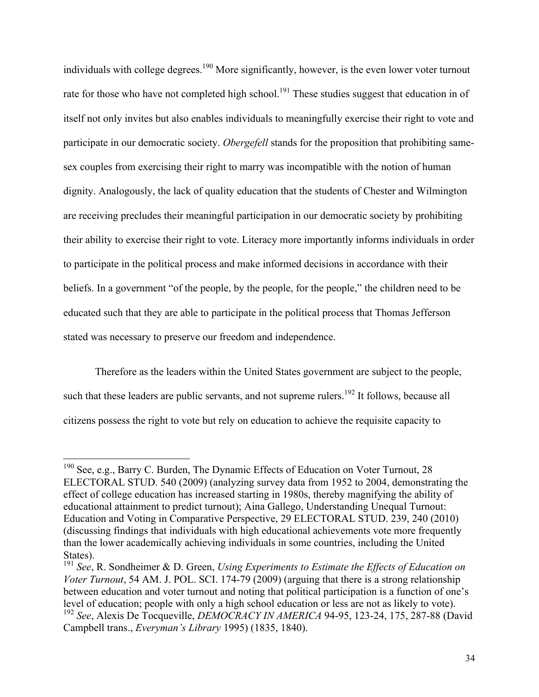individuals with college degrees.<sup>190</sup> More significantly, however, is the even lower voter turnout rate for those who have not completed high school.<sup>191</sup> These studies suggest that education in of itself not only invites but also enables individuals to meaningfully exercise their right to vote and participate in our democratic society. *Obergefell* stands for the proposition that prohibiting samesex couples from exercising their right to marry was incompatible with the notion of human dignity. Analogously, the lack of quality education that the students of Chester and Wilmington are receiving precludes their meaningful participation in our democratic society by prohibiting their ability to exercise their right to vote. Literacy more importantly informs individuals in order to participate in the political process and make informed decisions in accordance with their beliefs. In a government "of the people, by the people, for the people," the children need to be educated such that they are able to participate in the political process that Thomas Jefferson stated was necessary to preserve our freedom and independence.

Therefore as the leaders within the United States government are subject to the people, such that these leaders are public servants, and not supreme rulers.<sup>192</sup> It follows, because all citizens possess the right to vote but rely on education to achieve the requisite capacity to

<sup>&</sup>lt;sup>190</sup> See, e.g., Barry C. Burden, The Dynamic Effects of Education on Voter Turnout, 28 ELECTORAL STUD. 540 (2009) (analyzing survey data from 1952 to 2004, demonstrating the effect of college education has increased starting in 1980s, thereby magnifying the ability of educational attainment to predict turnout); Aina Gallego, Understanding Unequal Turnout: Education and Voting in Comparative Perspective, 29 ELECTORAL STUD. 239, 240 (2010) (discussing findings that individuals with high educational achievements vote more frequently than the lower academically achieving individuals in some countries, including the United States).

<sup>191</sup> *See*, R. Sondheimer & D. Green, *Using Experiments to Estimate the Effects of Education on Voter Turnout*, 54 AM. J. POL. SCI. 174-79 (2009) (arguing that there is a strong relationship between education and voter turnout and noting that political participation is a function of one's level of education; people with only a high school education or less are not as likely to vote). <sup>192</sup> *See*, Alexis De Tocqueville, *DEMOCRACY IN AMERICA* 94-95, 123-24, 175, 287-88 (David Campbell trans., *Everyman's Library* 1995) (1835, 1840).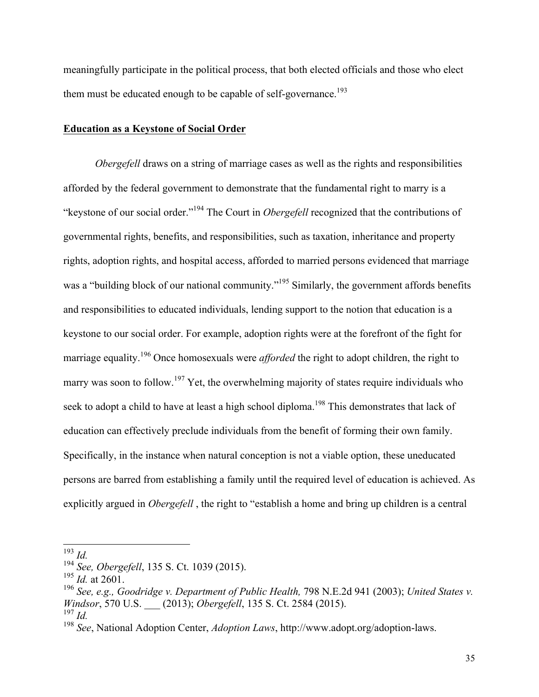meaningfully participate in the political process, that both elected officials and those who elect them must be educated enough to be capable of self-governance.<sup>193</sup>

#### **Education as a Keystone of Social Order**

*Obergefell* draws on a string of marriage cases as well as the rights and responsibilities afforded by the federal government to demonstrate that the fundamental right to marry is a "keystone of our social order."194 The Court in *Obergefell* recognized that the contributions of governmental rights, benefits, and responsibilities, such as taxation, inheritance and property rights, adoption rights, and hospital access, afforded to married persons evidenced that marriage was a "building block of our national community."<sup>195</sup> Similarly, the government affords benefits and responsibilities to educated individuals, lending support to the notion that education is a keystone to our social order. For example, adoption rights were at the forefront of the fight for marriage equality.<sup>196</sup> Once homosexuals were *afforded* the right to adopt children, the right to marry was soon to follow.<sup>197</sup> Yet, the overwhelming majority of states require individuals who seek to adopt a child to have at least a high school diploma.<sup>198</sup> This demonstrates that lack of education can effectively preclude individuals from the benefit of forming their own family. Specifically, in the instance when natural conception is not a viable option, these uneducated persons are barred from establishing a family until the required level of education is achieved. As explicitly argued in *Obergefell* , the right to "establish a home and bring up children is a central

<sup>193</sup> *Id.*

<sup>194</sup> *See, Obergefell*, 135 S. Ct. 1039 (2015).

 $^{195}$  *Id.* at 2601.

<sup>196</sup> *See, e.g., Goodridge v. Department of Public Health,* 798 N.E.2d 941 (2003); *United States v. Windsor*, 570 U.S. \_\_\_ (2013); *Obergefell*, 135 S. Ct. 2584 (2015).

<sup>197</sup> *Id.*

<sup>198</sup> *See*, National Adoption Center, *Adoption Laws*, http://www.adopt.org/adoption-laws.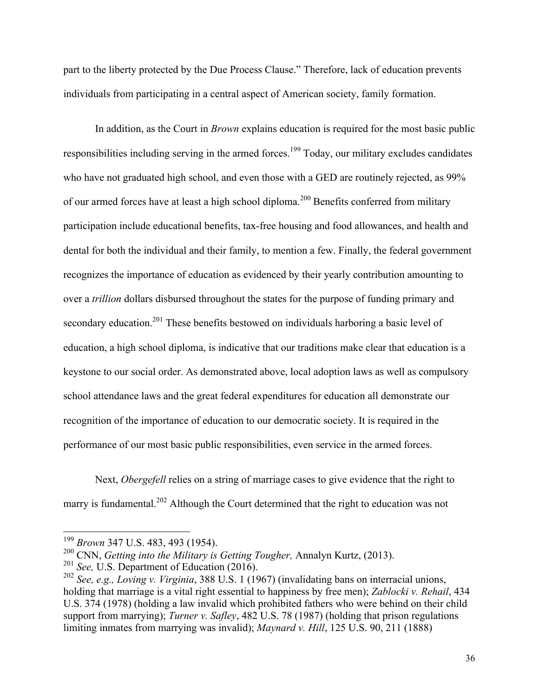part to the liberty protected by the Due Process Clause." Therefore, lack of education prevents individuals from participating in a central aspect of American society, family formation.

In addition, as the Court in *Brown* explains education is required for the most basic public responsibilities including serving in the armed forces.<sup>199</sup> Today, our military excludes candidates who have not graduated high school, and even those with a GED are routinely rejected, as 99% of our armed forces have at least a high school diploma.<sup>200</sup> Benefits conferred from military participation include educational benefits, tax-free housing and food allowances, and health and dental for both the individual and their family, to mention a few. Finally, the federal government recognizes the importance of education as evidenced by their yearly contribution amounting to over a *trillion* dollars disbursed throughout the states for the purpose of funding primary and secondary education.<sup>201</sup> These benefits bestowed on individuals harboring a basic level of education, a high school diploma, is indicative that our traditions make clear that education is a keystone to our social order. As demonstrated above, local adoption laws as well as compulsory school attendance laws and the great federal expenditures for education all demonstrate our recognition of the importance of education to our democratic society. It is required in the performance of our most basic public responsibilities, even service in the armed forces.

Next, *Obergefell* relies on a string of marriage cases to give evidence that the right to marry is fundamental.<sup>202</sup> Although the Court determined that the right to education was not

<sup>199</sup> *Brown* 347 U.S. 483, 493 (1954).

<sup>200</sup> CNN, *Getting into the Military is Getting Tougher,* Annalyn Kurtz, (2013).

<sup>201</sup> *See,* U.S. Department of Education (2016).

<sup>202</sup> *See, e.g., Loving v. Virginia*, 388 U.S. 1 (1967) (invalidating bans on interracial unions, holding that marriage is a vital right essential to happiness by free men); *Zablocki v. Rehail*, 434 U.S. 374 (1978) (holding a law invalid which prohibited fathers who were behind on their child support from marrying); *Turner v. Safley*, 482 U.S. 78 (1987) (holding that prison regulations limiting inmates from marrying was invalid); *Maynard v. Hill*, 125 U.S. 90, 211 (1888)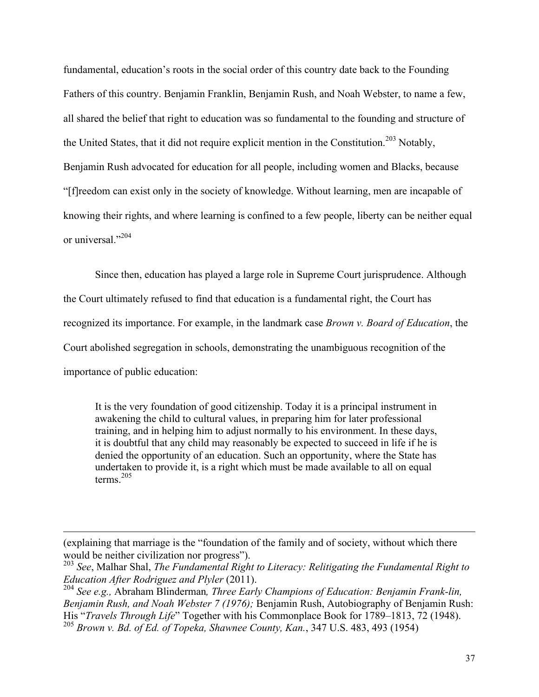fundamental, education's roots in the social order of this country date back to the Founding Fathers of this country. Benjamin Franklin, Benjamin Rush, and Noah Webster, to name a few, all shared the belief that right to education was so fundamental to the founding and structure of the United States, that it did not require explicit mention in the Constitution.<sup>203</sup> Notably, Benjamin Rush advocated for education for all people, including women and Blacks, because "[f]reedom can exist only in the society of knowledge. Without learning, men are incapable of knowing their rights, and where learning is confined to a few people, liberty can be neither equal or universal<sup>"204</sup>

Since then, education has played a large role in Supreme Court jurisprudence. Although the Court ultimately refused to find that education is a fundamental right, the Court has recognized its importance. For example, in the landmark case *Brown v. Board of Education*, the Court abolished segregation in schools, demonstrating the unambiguous recognition of the importance of public education:

It is the very foundation of good citizenship. Today it is a principal instrument in awakening the child to cultural values, in preparing him for later professional training, and in helping him to adjust normally to his environment. In these days, it is doubtful that any child may reasonably be expected to succeed in life if he is denied the opportunity of an education. Such an opportunity, where the State has undertaken to provide it, is a right which must be made available to all on equal terms. $205$ 

<sup>(</sup>explaining that marriage is the "foundation of the family and of society, without which there would be neither civilization nor progress").

<sup>203</sup> *See*, Malhar Shal, *The Fundamental Right to Literacy: Relitigating the Fundamental Right to Education After Rodriguez and Plyler* (2011).

<sup>204</sup> *See e.g.,* Abraham Blinderman*, Three Early Champions of Education: Benjamin Frank-lin, Benjamin Rush, and Noah Webster 7 (1976);* Benjamin Rush, Autobiography of Benjamin Rush: His "*Travels Through Life*" Together with his Commonplace Book for 1789–1813, 72 (1948).

<sup>205</sup> *Brown v. Bd. of Ed. of Topeka, Shawnee County, Kan.*, 347 U.S. 483, 493 (1954)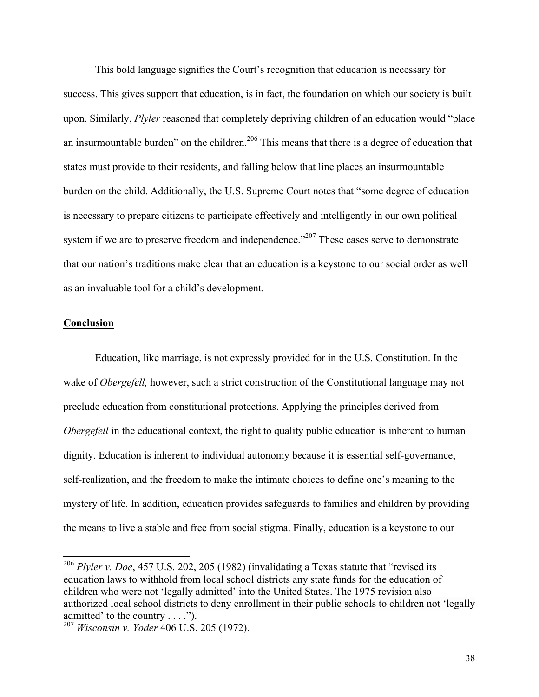This bold language signifies the Court's recognition that education is necessary for success. This gives support that education, is in fact, the foundation on which our society is built upon. Similarly, *Plyler* reasoned that completely depriving children of an education would "place an insurmountable burden" on the children.<sup>206</sup> This means that there is a degree of education that states must provide to their residents, and falling below that line places an insurmountable burden on the child. Additionally, the U.S. Supreme Court notes that "some degree of education is necessary to prepare citizens to participate effectively and intelligently in our own political system if we are to preserve freedom and independence.<sup>2207</sup> These cases serve to demonstrate that our nation's traditions make clear that an education is a keystone to our social order as well as an invaluable tool for a child's development.

#### **Conclusion**

Education, like marriage, is not expressly provided for in the U.S. Constitution. In the wake of *Obergefell,* however, such a strict construction of the Constitutional language may not preclude education from constitutional protections. Applying the principles derived from *Obergefell* in the educational context, the right to quality public education is inherent to human dignity. Education is inherent to individual autonomy because it is essential self-governance, self-realization, and the freedom to make the intimate choices to define one's meaning to the mystery of life. In addition, education provides safeguards to families and children by providing the means to live a stable and free from social stigma. Finally, education is a keystone to our

<sup>206</sup> *Plyler v. Doe*, 457 U.S. 202, 205 (1982) (invalidating a Texas statute that "revised its education laws to withhold from local school districts any state funds for the education of children who were not 'legally admitted' into the United States. The 1975 revision also authorized local school districts to deny enrollment in their public schools to children not 'legally admitted' to the country . . . .").

<sup>207</sup> *Wisconsin v. Yoder* 406 U.S. 205 (1972).